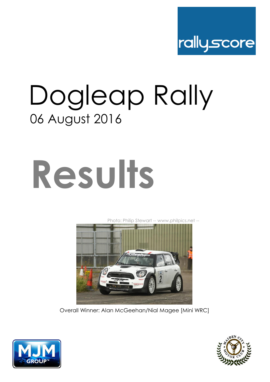

## Dogleap Rally 06 August 2016

# **Results**

[Ph](http://www.philpics.net/)oto: Philip Stewart -- www.philpics.net --



Overall Winner: Alan McGeehan/Nial Magee [Mini WRC]



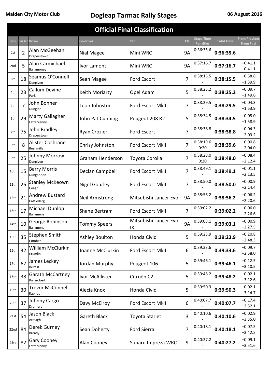| <b>Official Final Classification</b>                                                                                                          |                |                                        |                       |                             |                |                                       |                   |                                    |  |  |
|-----------------------------------------------------------------------------------------------------------------------------------------------|----------------|----------------------------------------|-----------------------|-----------------------------|----------------|---------------------------------------|-------------------|------------------------------------|--|--|
| <b>Pos</b>                                                                                                                                    |                | Car Nc Driver                          | Co-driver             | Car                         | <b>CIs</b>     | <b>Stage Time</b><br><b>Penalties</b> | <b>Total Time</b> | <b>From Previous</b><br>From First |  |  |
| 1st                                                                                                                                           | $\overline{2}$ | Alan McGeehan<br>Draperstown           | Nial Magee            | Mini WRC                    | <b>9A</b>      | 0:36:35.6                             | 0:36:35.6         |                                    |  |  |
| 2nd                                                                                                                                           | 5              | Alan Carmichael<br>Ballymoney          | Ivor Lamont           | Mini WRC                    | <b>9A</b>      | 0:37:16.7                             | 0:37:16.7         | $+0:41.1$<br>$+0:41.1$             |  |  |
| 3rd                                                                                                                                           | 18             | Seamus O'Connell<br>Dungiven           | Sean Magee            | <b>Ford Escort</b>          | 7              | 0:38:15.5                             | 0:38:15.5         | $+0:58.8$<br>$+1:39.9$             |  |  |
| 4th                                                                                                                                           | 23             | <b>Callum Devine</b><br>Park           | Keith Moriarty        | Opel Adam                   | 5              | 0:38:25.2                             | 0:38:25.2         | $+0:09.7$<br>$+1:49.6$             |  |  |
| 5th                                                                                                                                           | 7              | John Bonner<br>Dungloe                 | Leon Johnston         | Ford Escort MkII            | 7              | 0:38:29.5                             | 0:38:29.5         | $+0:04.3$<br>$+1:53.9$             |  |  |
| 6th                                                                                                                                           | 29             | Marty Gallagher<br>Letterkenny         | John Pat Cunning      | Peugeot 208 R2              | 5              | 0:38:34.5                             | 0:38:34.5         | $+0:05.0$<br>$+1:58.9$             |  |  |
| 7th                                                                                                                                           | 75             | John Bradley<br>Draperstown            | Ryan Crozier          | Ford Escort                 | 7              | 0:38:38.8                             | 0:38:38.8         | $+0:04.3$<br>$+2:03.2$             |  |  |
| 8th                                                                                                                                           | 8              | Alister Cochrane<br><b>Bushmills</b>   | Chrisy Johnston       | <b>Ford Escort MkII</b>     | 7              | 0:38:19.6<br>0:20                     | 0:38:39.6         | $+0:00.8$<br>$+2:04.0$             |  |  |
| 9th                                                                                                                                           | 25             | Johnny Morrow<br>Dungiven              | Graham Henderson      | Toyota Corolla              | $\overline{7}$ | 0:38:28.0<br>0:20                     | 0:38:48.0         | $+0:08.4$<br>$+2:12.4$             |  |  |
| 10th                                                                                                                                          | 15             | <b>Barry Morris</b><br>Dungannon       | Declan Campbell       | Ford Escort MkII            | 7              | 0:38:49.1                             | 0:38:49.1         | $+0:01.1$<br>$+2:13.5$             |  |  |
| 11th                                                                                                                                          | 26             | <b>Stanley McKeown</b><br>Coagh        | <b>Nigel Gourley</b>  | Ford Escort MkII            | $\overline{7}$ | 0:38:50.0                             | 0:38:50.0         | $+0:00.9$<br>$+2:14.4$             |  |  |
| 12th                                                                                                                                          | 21             | <b>Andrew Bustard</b><br>Castlederg    | <b>Neil Armstrong</b> | Mitsubishi Lancer Evo       | <b>9A</b>      | 0:38:56.2                             | 0:38:56.2         | $+0:06.2$<br>$+2:20.6$             |  |  |
| 13th                                                                                                                                          | 17             | Michael Dunlop<br>Ballymena            | Shane Bertram         | Ford Escort MkII            | 7              | 0:39:02.2                             | 0:39:02.2         | $+0:06.0$<br>$+2:26.6$             |  |  |
| 14th                                                                                                                                          | 10             | George Robinson<br>Ballymena           | <b>Tommy Speers</b>   | Mitsubishi Lancer Evo<br>IX | <b>9A</b>      | 0:39:03.1                             | 0:39:03.1         | $+0:00.9$<br>$+2:27.5$             |  |  |
| 15th                                                                                                                                          | 35             | Stephen Smith<br>Comber                | <b>Ashley Boulton</b> | Honda Civic                 | 5              | 0:39:23.9                             | 0:39:23.9         | $+0:20.8$<br>$+2:48.3$             |  |  |
| 16th                                                                                                                                          | 32             | William McClurkin<br>Crumlin           | Joanne McClurkin      | Ford Escort MkII            | 6              | 0:39:33.6                             | 0:39:33.6         | $+0:09.7$<br>$+2:58.0$             |  |  |
| 17th                                                                                                                                          | 67             | James Leckey<br>Belfast                | Jordan Murphy         | Peugeot 106                 | 5              | 0:39:46.1                             | 0:39:46.1         | $+0:12.5$<br>$+3:10.5$             |  |  |
| 18th                                                                                                                                          | 38             | <b>Garath McCartney</b><br>Ballyrobert | Ivor McAllister       | Citroën C2                  | 5              | 0:39:48.2                             | 0:39:48.2         | $+0:02.1$<br>$+3:12.6$             |  |  |
| 19th                                                                                                                                          | 30             | <b>Trevor McConnell</b><br>Raphoe      | Alecia Knox           | Honda Civic                 | 5              | 0:39:50.3                             | 0:39:50.3         | $+0:02.1$<br>$+3:14.7$             |  |  |
| 20th                                                                                                                                          | 37             | Johnny Cargo<br>Drumore                | Davy McElroy          | Ford Escort MkII            | 6              | 0:40:07.7                             | 0:40:07.7         | $+0:17.4$<br>$+3:32.1$             |  |  |
| 21st                                                                                                                                          | 54             | Jason Black<br>Armagh                  | <b>Gareth Black</b>   | Toyota Starlet              | 3              | 0:40:10.6                             | 0:40:10.6         | $+0:02.9$<br>$+3:35.0$             |  |  |
| 22nd                                                                                                                                          | 84             | Derek Gurney<br><b>Bready</b>          | Sean Doherty          | Ford Sierra                 | $\overline{7}$ | 0:40:18.1                             | 0:40:18.1         | $+0:07.5$<br>$+3:42.5$             |  |  |
| $+0:09.1$<br>0:40:27.2<br><b>Gary Cooney</b><br>82<br>9<br>0:40:27.2<br>Alan Cooney<br>Subaru Impreza WRC<br>23rd<br>$+3:51.6$<br>Letterkenny |                |                                        |                       |                             |                |                                       |                   |                                    |  |  |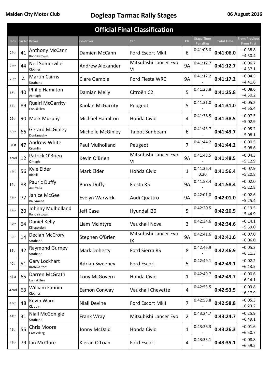| <b>Official Final Classification</b>                                                                               |    |                                        |                         |                             |                |                                       |                   |                                           |  |  |  |
|--------------------------------------------------------------------------------------------------------------------|----|----------------------------------------|-------------------------|-----------------------------|----------------|---------------------------------------|-------------------|-------------------------------------------|--|--|--|
| <b>Pos</b>                                                                                                         |    | <b>Car Nc Driver</b>                   | Co-driver               | Car                         | <b>CIs</b>     | <b>Stage Time</b><br><b>Penalties</b> | <b>Total Time</b> | <b>From Previous</b><br><b>From First</b> |  |  |  |
| 24th                                                                                                               | 41 | Anthony McCann<br>Randalstown          | Damien McCann           | <b>Ford Escort MkII</b>     | 6              | 0:41:06.0                             | 0:41:06.0         | $+0:38.8$<br>$+4:30.4$                    |  |  |  |
| 25th                                                                                                               | 44 | Neil Somerville<br>Clogher             | <b>Andrew Alexander</b> | Mitsubishi Lancer Evo<br>VI | <b>9A</b>      | 0:41:12.7                             | 0:41:12.7         | $+0:06.7$<br>$+4:37.1$                    |  |  |  |
| 26th                                                                                                               | 4  | <b>Martin Cairns</b><br>Strabane       | <b>Clare Gamble</b>     | Ford Fiesta WRC             | <b>9A</b>      | 0:41:17.2                             | 0:41:17.2         | $+0:04.5$<br>$+4:41.6$                    |  |  |  |
| 27th                                                                                                               | 40 | Philip Hamilton<br>Armagh              | Damian Melly            | Citroën C2                  | 5              | 0:41:25.8                             | 0:41:25.8         | $+0:08.6$<br>$+4:50.2$                    |  |  |  |
| 28th                                                                                                               | 89 | <b>Ruairi McGarrity</b><br>Enniskillen | Kaolan McGarrity        | Peugeot                     | 5              | 0:41:31.0                             | 0:41:31.0         | $+0:05.2$<br>$+4:55.4$                    |  |  |  |
| 29th                                                                                                               | 90 | <b>Mark Murphy</b>                     | <b>Michael Hamilton</b> | Honda Civic                 | 4              | 0:41:38.5                             | 0:41:38.5         | $+0:07.5$<br>$+5:02.9$                    |  |  |  |
| 30th                                                                                                               | 66 | <b>Gerard McGinley</b><br>Dunfanaghy   | Michelle McGinley       | <b>Talbot Sunbeam</b>       | 6              | 0:41:43.7                             | 0:41:43.7         | $+0:05.2$<br>$+5:08.1$                    |  |  |  |
| 31st                                                                                                               | 47 | <b>Andrew White</b><br>Crumlin         | Paul Mulholland         | Peugeot                     | $\overline{7}$ | 0:41:44.2                             | 0:41:44.2         | $+0:00.5$<br>$+5:08.6$                    |  |  |  |
| 32nd                                                                                                               | 12 | Patrick O'Brien<br>Omagh               | Kevin O'Brien           | Mitsubishi Lancer Evo<br>VI | 9A             | 0:41:48.5                             | 0:41:48.5         | $+0:04.3$<br>$+5:12.9$                    |  |  |  |
| 33rd                                                                                                               | 56 | Kyle Elder<br>Richill                  | Mark Elder              | Honda Civic                 | 1              | 0:41:36.4<br>0:20                     | 0:41:56.4         | $+0:07.9$<br>$+5:20.8$                    |  |  |  |
| 34th                                                                                                               | 88 | Pauric Duffy<br>Australia              | <b>Barry Duffy</b>      | Fiesta R5                   | <b>9A</b>      | 0:41:58.4                             | 0:41:58.4         | $+0:02.0$<br>$+5:22.8$                    |  |  |  |
| 35th                                                                                                               | 77 | Janice McGee<br>Ballymena              | Evelyn Warwick          | Audi Quattro                | <b>9A</b>      | 0:42:01.0                             | 0:42:01.0         | $+0:02.6$<br>$+5:25.4$                    |  |  |  |
| 36th                                                                                                               | 20 | Johnny Mulholland<br>Randalstown       | <b>Jeff Case</b>        | Hyundai i20                 | 5              | 0:42:20.5                             | 0:42:20.5         | $+0:19.5$<br>$+5:44.9$                    |  |  |  |
| 37th                                                                                                               | 64 | Daniel Kelly<br>Killygordon            | Liam McIntyre           | <b>Vauxhall Nova</b>        | 3              | 0:42:34.6                             | 0:42:34.6         | $+0:14.1$<br>$+5:59.0$                    |  |  |  |
| 38th                                                                                                               | 14 | Declan McCrory<br>Strabane             | Stephen O'Brien         | Mitsubishi Lancer Evo<br>IX | <b>9A</b>      | 0:42:41.6                             | 0:42:41.6         | $+0:07.0$<br>$+6:06.0$                    |  |  |  |
| 39th                                                                                                               | 42 | <b>Raymond Gurney</b><br>Strabane      | <b>Mark Doherty</b>     | Ford Sierra RS              | 8              | 0:42:46.9                             | 0:42:46.9         | $+0:05.3$<br>$+6:11.3$                    |  |  |  |
| 40th                                                                                                               | 51 | Gary Lockhart<br>Rathmelton            | <b>Adrian Sweeney</b>   | Ford Escort                 | 5              | 0:42:49.1                             | 0:42:49.1         | $+0:02.2$<br>$+6:13.5$                    |  |  |  |
| 41st                                                                                                               | 65 | Darren McGrath<br>Enniskillen          | <b>Tony McGovern</b>    | Honda Civic                 | 1              | 0:42:49.7                             | 0:42:49.7         | $+0:00.6$<br>$+6:14.1$                    |  |  |  |
| 42nd                                                                                                               | 63 | William Fannin<br>Clogher              | Eamon Conway            | <b>Vauxhall Chevette</b>    | $\overline{4}$ | 0:42:53.5                             | 0:42:53.5         | $+0:03.8$<br>$+6:17.9$                    |  |  |  |
| 43rd                                                                                                               | 48 | Kevin Ward<br>Claudy                   | <b>Niall Devine</b>     | Ford Escort MkII            | $\overline{7}$ | 0:42:58.8                             | 0:42:58.8         | $+0:05.3$<br>$+6:23.2$                    |  |  |  |
| 44th                                                                                                               | 31 | Niall McGonigle<br>Strabane            | Frank Wray              | Mitsubishi Lancer Evo       | $\overline{2}$ | 0:43:24.7                             | 0:43:24.7         | $+0:25.9$<br>$+6:49.1$                    |  |  |  |
| 45th                                                                                                               | 55 | Chris Moore<br>Castlederg              | Jonny McDaid            | Honda Civic                 | 1              | 0:43:26.3                             | 0:43:26.3         | $+0:01.6$<br>$+6:50.7$                    |  |  |  |
| 0:43:35.1<br>$+0:08.8$<br>Ian McClure<br>Kieran O'Loan<br>Ford Escort<br>4<br>0:43:35.1<br>79<br>46th<br>$+6:59.5$ |    |                                        |                         |                             |                |                                       |                   |                                           |  |  |  |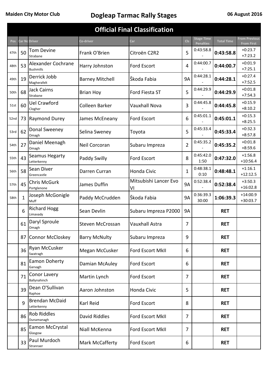| <b>Official Final Classification</b> |                                                                                      |                                               |                        |                             |                |                                       |                   |                                           |  |  |  |
|--------------------------------------|--------------------------------------------------------------------------------------|-----------------------------------------------|------------------------|-----------------------------|----------------|---------------------------------------|-------------------|-------------------------------------------|--|--|--|
| Pos                                  |                                                                                      | Car Nc Driver                                 | Co-driver              | Car                         | <b>CIs</b>     | <b>Stage Time</b><br><b>Penalties</b> | <b>Total Time</b> | <b>From Previous</b><br><b>From First</b> |  |  |  |
| 47th                                 | 50                                                                                   | Tom Devine<br>Strabane                        | Frank O'Brien          | Citroën C2R2                | 5              | 0:43:58.8                             | 0:43:58.8         | $+0:23.7$<br>$+7:23.2$                    |  |  |  |
| 48th                                 | 53                                                                                   | <b>Alexander Cochrane</b><br><b>Bushmills</b> | Harry Johnston         | Ford Escort                 | 4              | 0:44:00.7                             | 0:44:00.7         | $+0:01.9$<br>$+7:25.1$                    |  |  |  |
| 49th                                 | 19                                                                                   | Derrick Jobb<br>Magherafelt                   | <b>Barney Mitchell</b> | Škoda Fabia                 | <b>9A</b>      | 0:44:28.1                             | 0:44:28.1         | $+0:27.4$<br>$+7:52.5$                    |  |  |  |
| 50th                                 | 68                                                                                   | <b>Jack Cairns</b><br>Strabane                | <b>Brian Hoy</b>       | Ford Fiesta ST              | 5              | 0:44:29.9                             | 0:44:29.9         | $+0:01.8$<br>$+7:54.3$                    |  |  |  |
| 51st                                 | 60                                                                                   | <b>Uel Crawford</b><br>Clogher                | Colleen Barker         | <b>Vauxhall Nova</b>        | 3              | 0:44:45.8                             | 0:44:45.8         | $+0:15.9$<br>$+8:10.2$                    |  |  |  |
| 52nd                                 | 73                                                                                   | <b>Raymond Durey</b>                          | James McEneany         | <b>Ford Escort</b>          | 6              | 0:45:01.1                             | 0:45:01.1         | $+0:15.3$<br>$+8:25.5$                    |  |  |  |
| 53rd                                 | 62                                                                                   | Donal Sweeney<br>Omagh                        | Selina Sweney          | Toyota                      | 5              | 0:45:33.4                             | 0:45:33.4         | $+0:32.3$<br>$+8:57.8$                    |  |  |  |
| 54th                                 | 27                                                                                   | Daniel Meenagh<br>Omagh                       | Neil Corcoran          | Subaru Impreza              | $\overline{2}$ | 0:45:35.2                             | 0:45:35.2         | $+0:01.8$<br>$+8:59.6$                    |  |  |  |
| 55th                                 | 43                                                                                   | Seamus Hegarty<br>Letterkenny                 | Paddy Swilly           | Ford Escort                 | 8              | 0:45:42.0<br>1:50                     | 0:47:32.0         | $+1:56.8$<br>$+10:56.4$                   |  |  |  |
| 56th                                 | 58                                                                                   | Sean Diver<br>Greencastle                     | Darren Curran          | <b>Honda Civic</b>          | 1              | 0:48:38.1<br>0:10                     | 0:48:48.1         | $+1:16.1$<br>$+12:12.5$                   |  |  |  |
| 57th                                 | 45                                                                                   | <b>Chris McGurk</b><br>Portglenone            | James Duffin           | Mitsubishi Lancer Evo<br>VI | <b>9A</b>      | 0:52:38.4                             | 0:52:38.4         | $+3:50.3$<br>$+16:02.8$                   |  |  |  |
| 58th                                 | 1                                                                                    | Joseph McGonigle<br>Muff                      | Paddy McCrudden        | Škoda Fabia                 | <b>9A</b>      | 0:36:39.3<br>30:00                    | 1:06:39.3         | $+14:00.9$<br>$+30:03.7$                  |  |  |  |
|                                      | 6                                                                                    | <b>Richard Hogg</b><br>Limavady               | Sean Devlin            | Subaru Impreza P2000        | <b>9A</b>      |                                       | <b>RET</b>        |                                           |  |  |  |
|                                      | 61                                                                                   | Daryl Sproule<br>Omagh                        | Steven McCrossan       | <b>Vauxhall Astra</b>       | 7              |                                       | <b>RET</b>        |                                           |  |  |  |
|                                      |                                                                                      | 87 Connor McCloskey                           | <b>Barry McNulty</b>   | Subaru Impreza              | 9              |                                       | <b>RET</b>        |                                           |  |  |  |
|                                      | 36                                                                                   | Ryan McCusker<br>Swatragh                     | Megan McCusker         | Ford Escort MkII            | 6              |                                       | <b>RET</b>        |                                           |  |  |  |
|                                      | 81                                                                                   | Eamon Doherty<br>Garvagh                      | Damian McAuley         | Ford Escort                 | 6              |                                       | <b>RET</b>        |                                           |  |  |  |
|                                      | 71                                                                                   | Conor Lavery<br>Ballynahinch                  | Martin Lynch           | <b>Ford Escort</b>          | 7              |                                       | <b>RET</b>        |                                           |  |  |  |
|                                      | 39                                                                                   | Dean O'Sullivan<br>Raphoe                     | Aaron Johnston         | Honda Civic                 | 5              |                                       | <b>RET</b>        |                                           |  |  |  |
|                                      | 9                                                                                    | <b>Brendan McDaid</b><br>Letterkenny          | Karl Reid              | Ford Escort                 | 8              |                                       | <b>RET</b>        |                                           |  |  |  |
|                                      | 86                                                                                   | <b>Rob Riddles</b><br>Dunamanagh              | David Riddles          | Ford Escort MkII            | 7              |                                       | <b>RET</b>        |                                           |  |  |  |
|                                      | 85                                                                                   | Eamon McCrystal<br>Glasgow                    | Niall McKenna          | Ford Escort MkII            | 7              |                                       | <b>RET</b>        |                                           |  |  |  |
|                                      | Paul Murdoch<br>33<br>Mark McCafferty<br>Ford Escort<br>6<br><b>RET</b><br>Stranraer |                                               |                        |                             |                |                                       |                   |                                           |  |  |  |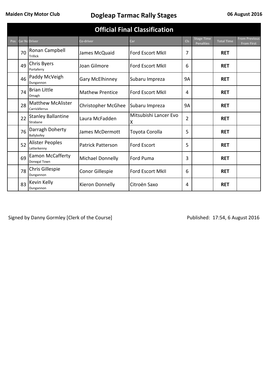| <b>Official Final Classification</b> |    |                                           |                          |                            |                |                                       |                   |                                           |  |  |
|--------------------------------------|----|-------------------------------------------|--------------------------|----------------------------|----------------|---------------------------------------|-------------------|-------------------------------------------|--|--|
| <b>Pos</b>                           |    | <b>Car Nc Driver</b>                      | Co-driver                | Car                        | <b>CIs</b>     | <b>Stage Time</b><br><b>Penalties</b> | <b>Total Time</b> | <b>From Previous</b><br><b>From First</b> |  |  |
|                                      | 70 | Ronan Campbell<br><b>Trillick</b>         | James McQuaid            | Ford Escort MkII           | 7              |                                       | <b>RET</b>        |                                           |  |  |
|                                      | 49 | <b>Chris Byers</b><br>Portaferry          | Joan Gilmore             | <b>Ford Escort MkII</b>    | 6              |                                       | <b>RET</b>        |                                           |  |  |
|                                      | 46 | Paddy McVeigh<br>Dungannon                | Gary McElhinney          | Subaru Impreza             | <b>9A</b>      |                                       | <b>RET</b>        |                                           |  |  |
|                                      | 74 | <b>Brian Little</b><br>Omagh              | <b>Mathew Prentice</b>   | <b>Ford Escort MkII</b>    | 4              |                                       | <b>RET</b>        |                                           |  |  |
|                                      | 28 | <b>Matthew McAlister</b><br>Carrickferrus | Christopher McGhee       | Subaru Impreza             | <b>9A</b>      |                                       | <b>RET</b>        |                                           |  |  |
|                                      | 22 | <b>Stanley Ballantine</b><br>Strabane     | Laura McFadden           | Mitsubishi Lancer Evo<br>Χ | $\overline{2}$ |                                       | <b>RET</b>        |                                           |  |  |
|                                      | 76 | Darragh Doherty<br>Ballybofey             | James McDermott          | Toyota Corolla             | 5              |                                       | <b>RET</b>        |                                           |  |  |
|                                      | 52 | <b>Alister Peoples</b><br>Letterkenny     | <b>Patrick Patterson</b> | <b>Ford Escort</b>         | 5              |                                       | <b>RET</b>        |                                           |  |  |
|                                      | 69 | <b>Eamon McCafferty</b><br>Donegal Town   | <b>Michael Donnelly</b>  | <b>Ford Puma</b>           | 3              |                                       | <b>RET</b>        |                                           |  |  |
|                                      | 78 | Chris Gillespie<br>Dungannon              | Conor Gillespie          | <b>Ford Escort MkII</b>    | 6              |                                       | <b>RET</b>        |                                           |  |  |
|                                      | 83 | Kevin Kelly<br>Dungannon                  | Kieron Donnelly          | Citroën Saxo               | 4              |                                       | <b>RET</b>        |                                           |  |  |

Signed by Danny Gormley [Clerk of the Course] Signed by Danny Gormley [Clerk of the Course] Published: 17:54, 6 August 2016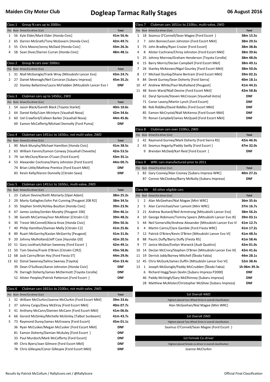| Class 1            | Group N cars up to 2000cc                                                                                  |              | Class <sub>7</sub> | Clubman cars 1651cc to 2100cc, multi-valve, 2WD               |              |
|--------------------|------------------------------------------------------------------------------------------------------------|--------------|--------------------|---------------------------------------------------------------|--------------|
|                    | Pos Num Driver/Co-driver [Car]                                                                             | <b>Total</b> |                    | Pos Num Driver/Co-driver [Car]                                | <b>Total</b> |
| 1                  | 56 Kyle Elder/Mark Elder [Honda Civic]                                                                     | 41m 56.4s    |                    | 1 18 Seamus O'Connell/Sean Magee [Ford Escort ]               | 38m 15.5s    |
| 2                  | 65 Darren McGrath/Tony McGovern [Honda Civic]                                                              | 42m 49.7s    | 2                  | 7 John Bonner/Leon Johnston [Ford Escort MkII]                | 38m 29.5s    |
| 3                  | 55 Chris Moore/Jonny McDaid [Honda Civic]                                                                  | 43m 26.3s    | 3                  | 75 John Bradley/Ryan Crozier [Ford Escort]                    | 38m 38.8s    |
| 4                  | 58 Sean Diver/Darren Curran [Honda Civic]                                                                  | 48m 48.1s    | 4                  | 8 Alister Cochrane/Chrisy Johnston [Ford Escort MkII]         | 38m 39.6s    |
|                    |                                                                                                            |              | 5                  | 25 Johnny Morrow/Graham Henderson [Toyota Corolla]            | 38m 48.0s    |
| Class 2            | Group N cars over 2000cc                                                                                   |              | 6                  | 15 Barry Morris/Declan Campbell [Ford Escort MkII]            | 38m 49.1s    |
|                    | Pos Num Driver/Co-driver [Car]                                                                             | <b>Total</b> | 7                  | 26 Stanley McKeown/Nigel Gourley [Ford Escort MkII]           | 38m 50.0s    |
| 1                  | 31 Niall McGonigle/Frank Wray [Mitsubishi Lancer Evo]                                                      | 43m 24.7s    | 8                  | 17 Michael Dunlop/Shane Bertram [Ford Escort MkII]            | 39m 02.2s    |
| 2                  | 27 Daniel Meenagh/Neil Corcoran [Subaru Impreza]                                                           | 45m 35.2s    | 9                  | 84 Derek Gurney/Sean Doherty [Ford Sierra]                    | 40m 18.1s    |
|                    | 22 Stanley Ballantine/Laura McFadden [Mitsubishi Lancer Evo >                                              | <b>DNF</b>   | 10                 | 47 Andrew White/Paul Mulholland [Peugeot]                     | 41m 44.2s    |
|                    |                                                                                                            |              |                    | 11 48 Kevin Ward/Niall Devine [Ford Escort MkII]              | 42m 58.8s    |
| Class <sub>3</sub> | Clubman cars up to 1450cc, 2WD                                                                             |              |                    | 61 Daryl Sproule/Steven McCrossan [Vauxhall Astra]            | <b>DNF</b>   |
|                    | Pos Num Driver/Co-driver [Car]                                                                             | <b>Total</b> |                    | 71 Conor Lavery/Martin Lynch [Ford Escort]                    | <b>DNF</b>   |
| 1                  | 54 Jason Black/Gareth Black [Toyota Starlet]                                                               | 40m 10.6s    |                    | 86 Rob Riddles/David Riddles [Ford Escort MkII]               | <b>DNF</b>   |
| 2                  | 64 Daniel Kelly/Liam McIntyre [Vauxhall Nova]                                                              | 42m 34.6s    |                    | 85 Eamon McCrystal/Niall McKenna [Ford Escort MkII]           | <b>DNF</b>   |
| 3                  | 60 Uel Crawford/Colleen Barker [Vauxhall Nova]                                                             | 44m 45.8s    |                    | 70 Ronan Campbell/James McQuaid [Ford Escort MkII]            | <b>DNF</b>   |
|                    | 69 Eamon McCafferty/Michael Donnelly [Ford Puma]                                                           | <b>DNF</b>   |                    |                                                               |              |
|                    |                                                                                                            |              | Class 8            | Clubman cars over 2100cc, 2WD                                 |              |
| Class 4            | Clubman cars 1451cc to 1650cc, not multi-valve, 2WD                                                        |              |                    | Pos Num Driver/Co-driver [Car]                                | <b>Total</b> |
|                    | Pos Num Driver/Co-driver [Car]                                                                             | <b>Total</b> | 1                  | 42 Raymond Gurney/Mark Doherty [Ford Sierra RS]               | 42m 46.9s    |
| 1                  | 90 Mark Murphy/Michael Hamilton [Honda Civic]                                                              | 41m 38.5s    |                    | 2 43 Seamus Hegarty/Paddy Swilly [Ford Escort]                | 47m 32.0s    |
| 2                  | William Fannin/Eamon Conway [Vauxhall Chevette]<br>63                                                      | 42m 53.5s    |                    | 9 Brendan McDaid/Karl Reid [Ford Escort ]                     | <b>DNF</b>   |
| 3                  | 79 Ian McClure/Kieran O'Loan [Ford Escort]                                                                 | 43m 35.1s    |                    |                                                               |              |
| 4                  | 53 Alexander Cochrane/Harry Johnston [Ford Escort]                                                         | 44m 00.7s    | Class 9            | WRC cars manufactured prior to 2011                           |              |
|                    | 74 Brian Little/Mathew Prentice [Ford Escort MkII]                                                         | DNF          |                    | Pos Num Driver/Co-driver [Car]                                | <b>Total</b> |
|                    | 83 Kevin Kelly/Kieron Donnelly [Citroën Saxo]                                                              | <b>DNF</b>   |                    | 1 82 Gary Cooney/Alan Cooney [Subaru Impreza WRC]             | 40m 27.2s    |
|                    |                                                                                                            |              |                    | 87 Connor McCloskey/Barry McNulty [Subaru Impreza]            | <b>DNF</b>   |
| Class 5            | Clubman cars 1451cc to 1650cc, multi-valve, 2WD                                                            |              |                    |                                                               |              |
|                    |                                                                                                            |              |                    |                                                               |              |
|                    | Pos Num Driver/Co-driver [Car]                                                                             | <b>Total</b> | Class 9A           | All other eligible cars                                       |              |
| 1                  | 23 Callum Devine/Keith Moriarty [Opel Adam]                                                                | 38m 25.2s    |                    | Pos Num Driver/Co-driver [Car]                                | <b>Total</b> |
| $\mathbf{2}$       | 29 Marty Gallagher/John Pat Cunning [Peugeot 208 R2]                                                       | 38m 34.5s    | 1                  | 2 Alan McGeehan/Nial Magee [Mini WRC]                         | 36m 35.6s    |
| 3                  | 35 Stephen Smith/Ashley Boulton [Honda Civic]                                                              | 39m 23.9s    | 2                  | 5 Alan Carmichael/Ivor Lamont [Mini WRC]                      | 37m 16.7s    |
| 4                  | 67 James Leckey/Jordan Murphy [Peugeot 106]                                                                | 39m 46.1s    | 3                  | 21 Andrew Bustard/Neil Armstrong [Mitsubishi Lancer Evo]      | 38m 56.2s    |
| 5                  | 38 Garath McCartney/Ivor McAllister [Citroën C2]                                                           | 39m 48.2s    | 4                  | 10 George Robinson/Tommy Speers [Mitsubishi Lancer Evo IX]    | 39m 03.1s    |
| 6                  | 30 Trevor McConnell/Alecia Knox [Honda Civic]                                                              | 39m 50.3s    | 5                  | 44 Neil Somerville/Andrew Alexander [Mitsubishi Lancer Evo VI | 41m 12.7s    |
| 7                  | 40 Philip Hamilton/Damian Melly [Citroën C2]                                                               | 41m 25.8s    | 6                  | 4 Martin Cairns/Clare Gamble [Ford Fiesta WRC]                | 41m 17.2s    |
| 8                  | Ruairi McGarrity/Kaolan McGarrity [Peugeot]<br>89                                                          | 41m 31.0s    | 7                  | 12 Patrick O'Brien/Kevin O'Brien [Mitsubishi Lancer Evo VI]   | 41m 48.5s    |
| 9                  | Johnny Mulholland/Jeff Case [Hyundai i20]<br>20                                                            | 42m 20.5s    | 8                  | 88 Pauric Duffy/Barry Duffy [Fiesta R5]                       | 41m 58.4s    |
| 10                 | 51 Gary Lockhart/Adrian Sweeney [Ford Escort ]                                                             | 42m 49.1s    | 9                  | 77 Janice McGee/Evelyn Warwick [Audi Quattro]                 | 42m 01.0s    |
| 11                 | 50 Tom Devine/Frank O'Brien [Citroën C2R2]                                                                 | 43m 58.8s    | 10                 | 14 Declan McCrory/Stephen O'Brien [Mitsubishi Lancer Evo IX]  | 42m 41.6s    |
| 12                 | 68 Jack Cairns/Brian Hoy [Ford Fiesta ST]                                                                  | 44m 29.9s    |                    | 11 19 Derrick Jobb/Barney Mitchell [Škoda Fabia]              | 44m 28.1s    |
|                    | 13 62 Donal Sweeney/Selina Sweney [Toyota]                                                                 | 45m 33.4s    |                    | 12 45 Chris McGurk/James Duffin [Mitsubishi Lancer Evo VI]    | 52m 38.4s    |
|                    | 39 Dean O'Sullivan/Aaron Johnston [Honda Civic]                                                            | <b>DNF</b>   | 13                 | 1 Joseph McGonigle/Paddy McCrudden [Škoda Fabia]              | 1h 06m 39.3s |
|                    | 76 Darragh Doherty/James McDermott [Toyota Corolla]                                                        | <b>DNF</b>   | 6                  | Richard Hogg/Sean Devlin [Subaru Impreza P2000]               | <b>DNF</b>   |
|                    | 52 Alister Peoples/Patrick Patterson [Ford Escort ]                                                        | DNF          |                    | 46 Paddy McVeigh/Gary McElhinney [Subaru Impreza]             | <b>DNF</b>   |
|                    |                                                                                                            |              |                    | 28 Matthew McAlister/Christopher McGhee [Subaru Impreza]      | DNF          |
| Class 6            | Clubman cars 1651cc to 2100cc, not multi-valve, 2WD                                                        |              |                    |                                                               |              |
|                    | Pos Num Driver/Co-driver [Car]                                                                             | <b>Total</b> |                    | 1st Overall 4WD                                               |              |
| 1                  | 32 William McClurkin/Joanne McClurkin [Ford Escort MkII]                                                   | 39m 33.6s    |                    | Highest placed Four Wheel Drive in overall classification     |              |
| 2                  | 37 Johnny Cargo/Davy McElroy [Ford Escort MkII]                                                            | 40m 07.7s    |                    | Alan McGeehan/Nial Magee (Mini WRC)                           |              |
| 3                  | 41 Anthony McCann/Damien McCann [Ford Escort MkII]                                                         | 41m 06.0s    |                    |                                                               |              |
| 4                  | 66 Gerard McGinley/Michelle McGinley [Talbot Sunbeam]                                                      | 41m 43.7s    |                    | 1st Overall 2WD                                               |              |
| 5                  | Raymond Durey/James McEneany [Ford Escort]<br>73                                                           | 45m 01.1s    |                    | Highest placed Two Wheel Drive in overall classification      |              |
|                    | 36 Ryan McCusker/Megan McCusker [Ford Escort MkII]                                                         | <b>DNF</b>   |                    | Seamus O'Connell/Sean Magee (Ford Escort)                     |              |
|                    | 81 Eamon Doherty/Damian McAuley [Ford Escort ]                                                             | <b>DNF</b>   |                    |                                                               |              |
|                    | 33 Paul Murdoch/Mark McCafferty [Ford Escort]                                                              | DNF          |                    | 1st Female Co-driver                                          |              |
|                    | Chris Byers/Joan Gilmore [Ford Escort MkII]<br>49<br>78 Chris Gillespie/Conor Gillespie [Ford Escort MkII] | DNF          |                    | Highest placed female co-driver in overall classification     |              |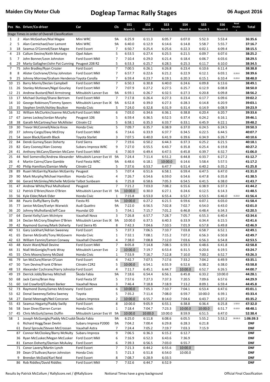|                |                | Pos No. Driver/Co-driver                                      | Car                                      | Cls                 | <b>SS1</b>        | SS <sub>2</sub>  | SS <sub>3</sub>  | <b>SS4</b>       | SS <sub>5</sub>  | SS <sub>6</sub>  | Road<br>Penaltie | Total                    |
|----------------|----------------|---------------------------------------------------------------|------------------------------------------|---------------------|-------------------|------------------|------------------|------------------|------------------|------------------|------------------|--------------------------|
|                |                | Stage Times in order of Overall Classification                |                                          |                     | Niamh 1           | Niamh 2          | Niamh 3          | Niamh 4          | Niamh 5          | Niamh 6          |                  |                          |
| 1              | $\overline{2}$ | Alan McGeehan/Nial Magee                                      | Mini WRC                                 | 9A                  | 6:25.9            | 6:11.3           | 6:05.7           | 6:07.0           | 5:52.3           | 5:53.4           |                  | 36:35.6                  |
| $\overline{2}$ | 5              | Alan Carmichael/Ivor Lamont                                   | Mini WRC                                 | 9A                  | 6:40.0            | 6:12.9           | 6:14.6           | 6:14.8           | 5:58.7           | 5:55.7           |                  | 37:16.7                  |
| 3              | 18             | Seamus O'Connell/Sean Magee                                   | Ford Escort                              | 7                   | 6:50.7            | 6:25.4           | 6:25.6           | 6:22.3           | 6:02.1           | 6:09.4           |                  | 38:15.5                  |
| 4              | 23             | Callum Devine/Keith Moriarty                                  | Opel Adam                                | 5                   | 6:53.5            | 6:27.4           | 6:25.5           | 6:21.5           | 6:09.7           | 6:07.6           |                  | 38:25.2                  |
| 5              | 7              | John Bonner/Leon Johnston                                     | Ford Escort MkII                         | 7                   | 7:10.4            | 6:29.0           | 6:21.4           | 6:18.4           | 6:06.7           | 6:03.6           |                  | 38:29.5                  |
| 6              | 29             | Marty Gallagher/John Pat Cunning Peugeot 208 R2               |                                          | 5                   | 6:53.3            | 6:25.7           | 6:28.5           | 6:25.3           | 6:11.7           | 6:10.0           |                  | 38:34.5                  |
| $\overline{7}$ | 75             | John Bradley/Ryan Crozier                                     | Ford Escort                              | $\overline{7}$      | 7:00.5            | 6:26.1           | 6:26.8           | 6:23.4           | 6:10.6           | 6:11.4           |                  | 38:38.8                  |
| 8              | 8              | Alister Cochrane/Chrisy Johnston                              | Ford Escort MkII                         | $\overline{7}$      | 6:57.7            | 6:22.6           | 6:21.2           | 6:22.9           | 6:12.1           | 6:03.1           | 0:20.0           | 38:39.6                  |
| 9              | 25             | Johnny Morrow/Graham Hendersor Toyota Corolla                 |                                          | 7                   | 6:59.4            | 6:23.7           | 6:19.1           | 6:20.3           | 6:15.1           | 6:10.4           | 0:20.0           | 38:48.0                  |
| 10<br>11       | 15<br>26       | Barry Morris/Declan Campbell<br>Stanley McKeown/Nigel Gourley | Ford Escort MkII<br>Ford Escort MkII     | 7<br>$\overline{7}$ | 6:50.3<br>7:07.9  | 6:30.8<br>6:27.2 | 6:40.0<br>6:27.5 | 6:24.6<br>6:25.7 | 6:09.8<br>6:12.9 | 6:13.6<br>6:08.8 |                  | 38:49.1<br>38:50.0       |
| 12             | 21             | Andrew Bustard/Neil Armstrong                                 | Mitsubishi Lancer Evo                    | 9A                  | 6:59.1            | 6:26.7           | 6:32.5           | 6:27.3           | 6:20.8           | 6:09.8           |                  | 38:56.2                  |
| 13             | 17             | Michael Dunlop/Shane Bertram                                  | Ford Escort MkII                         | $\overline{7}$      | 7:17.8            | 6:26.4           | 6:27.3           | 6:23.4           | 6:17.7           | 6:09.6           |                  | 39:02.2                  |
| 14             | 10             | George Robinson/Tommy Speers                                  | Mitsubishi Lancer Evo IX 9A              |                     | 6:52.8            | 6:39.0           | 6:27.3           | 6:28.3           | 6:14.8           | 6:20.9           |                  | 39:03.1                  |
| 15             | 35             | Stephen Smith/Ashley Boulton                                  | Honda Civic                              | 5                   | 7:24.0            | 6:32.8           | 6:31.9           | 6:31.4           | 6:14.9           | 6:08.9           |                  | 39:23.9                  |
| 16             |                | 32 William McClurkin/Joanne McClurki Ford Escort MkII         |                                          | 6                   | 7:03.0            | 6:34.6           | 6:36.1           | 6:38.8           | 6:20.4           | 6:20.7           |                  | 39:33.6                  |
| 17             | 67             | James Leckey/Jordan Murphy                                    | Peugeot 106                              | 5                   | 6:59.4            | 6:36.5           | 6:52.5           | 6:37.4           | 6:24.2           | 6:16.1           |                  | 39:46.1                  |
| 18             | 38             | Garath McCartney/Ivor McAllister                              | Citroën C2                               | 5                   | 6:58.1            | 6:35.3           | 6:33.7           | 6:33.1           | 6:45.9           | 6:22.1           |                  | 39:48.2                  |
| 19             |                | 30 Trevor McConnell/Alecia Knox                               | Honda Civic                              | 5                   | 7:09.7            | 6:35.7           | 6:38.9           | 6:37.0           | 6:24.5           | 6:24.5           |                  | 39:50.3                  |
| 20             | 37             | Johnny Cargo/Davy McElroy                                     | Ford Escort MkII                         | 6                   | 7:14.6            | 6:33.9           | 6:37.7           | 6:34.5           | 6:22.5           | 6:44.5           |                  | 40:07.7                  |
| 21             | 54             | Jason Black/Gareth Black                                      | <b>Toyota Starlet</b>                    | 3<br>$\overline{7}$ | 7:07.5            | 6:40.0           | 6:41.9           | 6:39.6           | 6:34.9           | 6:26.7           |                  | 40:10.6                  |
| 22<br>23       | 84             | Derek Gurney/Sean Doherty<br>82 Gary Cooney/Alan Cooney       | <b>Ford Sierra</b><br>Subaru Impreza WRC | 9                   | 7:19.6<br>7:27.0  | 6:50.2<br>6:55.5 | 6:44.3<br>6:43.7 | 6:37.3<br>6:35.8 | 6:25.2<br>6:25.4 | 6:21.5<br>6:19.8 |                  | 40:18.1<br>40:27.2       |
| 24             | 41             | Anthony McCann/Damien McCann Ford Escort MkII                 |                                          | 6                   | 7:30.9            | 6:49.4           | 6:47.5           | 6:45.8           | 6:39.7           | 6:32.7           |                  | 41:06.0                  |
| 25             | 44             | Neil Somerville/Andrew Alexander Mitsubishi Lancer Evo VI     |                                          | 9A                  | 7:24.4            | 7:11.4           | 6:51.2           | 6:44.8           | 6:33.7           | 6:27.2           |                  | 41:12.7                  |
| 26             | 4              | Martin Cairns/Clare Gamble                                    | Ford Fiesta WRC                          | 9A                  | 6:48.6            | 6:18.1           | 10:00.0          | 6:14.6           | 5:58.4           | 5:57.5           |                  | 41:17.2                  |
| 27             | 40             | Philip Hamilton/Damian Melly                                  | Citroën C2                               | 5                   | 7:37.6            | 6:53.7           | 6:47.7           | 6:51.4           | 6:40.2           | 6:35.2           |                  | 41:25.8                  |
| 28             | 89             | Ruairi McGarrity/Kaolan McGarrity                             | Peugeot                                  | 5                   | 7:07.4            | 6:51.6           | 6:58.1           | 6:59.4           | 6:47.5           | 6:47.0           |                  | 41:31.0                  |
| 29             | 90             | Mark Murphy/Michael Hamilton                                  | Honda Civic                              | 4                   | 7:26.7            | 6:54.6           | 6:59.0           | 6:54.6           | 6:47.8           | 6:35.8           |                  | 41:38.5                  |
| 30             | 66             | Gerard McGinley/Michelle McGinle Talbot Sunbeam               |                                          | 6                   | 7:25.8            | 6:58.6           | 7:05.3           | 6:54.5           | 6:41.5           | 6:38.0           |                  | 41:43.7                  |
| 31             | 47             | Andrew White/Paul Mulholland                                  | Peugeot                                  | $\overline{7}$      | 7:21.2            | 7:03.0           | 7:08.2           | 6:55.6           | 6:38.9           | 6:37.3           |                  | 41:44.2                  |
| 32             | 12             | Patrick O'Brien/Kevin O'Brien                                 | Mitsubishi Lancer Evo VI                 | 9A                  | 10:00.0           | 6:30.0           | 6:27.1           | 6:24.6           | 6:12.5           | 6:14.3           |                  | 41:48.5                  |
| 33             | 56             | Kyle Elder/Mark Elder                                         | Honda Civic                              | 1                   | 7:15.8            | 6:53.0           | 6:55.4           | 6:52.7           | 6:53.5           | 6:46.0           | 0:20.0           | 41:56.4                  |
| 34<br>35       | 88<br>77       | Pauric Duffy/Barry Duffy<br>Janice McGee/Evelyn Warwick       | Fiesta R5<br>Audi Quattro                | 9A<br>9A            | 10:00.0<br>7:22.0 | 6:27.2<br>6:56.5 | 6:21.5<br>7:02.8 | 6:59.6<br>7:02.7 | 6:07.1<br>6:54.0 | 6:03.0<br>6:43.0 |                  | 41:58.4<br>42:01.0       |
| 36             | 20             | Johnny Mulholland/Jeff Case                                   | Hyundai i20                              | 5                   | 7:54.1            | 7:15.7           | 7:01.2           | 6:46.8           | 6:48.4           | 6:34.3           |                  | 42:20.5                  |
| 37             | 64             | Daniel Kelly/Liam McIntyre                                    | Vauxhall Nova                            | 3                   | 7:26.8            | 6:57.7           | 7:28.7           | 7:05.7           | 6:55.3           | 6:40.4           |                  | 42:34.6                  |
| 38             | 14             | Declan McCrory/Stephen O'Brien                                | Mitsubishi Lancer Evo IX                 | 9A                  | 10:00.0           | 6:37.5           | 6:40.3           | 6:33.9           | 6:34.4           | 6:15.5           |                  | 42:41.6                  |
| 39             | 42             | Raymond Gurney/Mark Doherty                                   | Ford Sierra RS                           | 8                   | 7:42.3            | 7:04.6           | 7:10.5           | 7:01.9           | 6:57.8           | 6:49.8           |                  | 42:46.9                  |
| 40             |                | 51 Gary Lockhart/Adrian Sweeney                               | Ford Escort                              | 5                   | 7:37.3            | 7:06.5           | 7:10.7           | 7:03.8           | 6:58.7           | 6:52.1           |                  | 42:49.1                  |
| 41             | 65             | Darren McGrath/Tony McGovern                                  | Honda Civic                              | $\mathbf 1$         | 7:32.1            | 7:08.1           | 7:15.2           | 7:07.2           | 6:56.3           | 6:50.8           |                  | 42:49.7                  |
| 42             | 63             | William Fannin/Eamon Conway                                   | Vauxhall Chevette                        | 4                   | 7:38.0            | 7:08.8           | 7:12.0           | 7:03.6           | 6:56.3           | 6:54.8           |                  | 42:53.5                  |
| 43             | 48             | Kevin Ward/Niall Devine                                       | Ford Escort MkII                         | $\overline{7}$      | 8:05.8            | 7:14.8           | 7:08.5           | 6:59.3           | 6:48.6           | 6:41.8           |                  | 42:58.8                  |
| 44             | 31             | Niall McGonigle/Frank Wray                                    | Mitsubishi Lancer Evo                    | $\overline{2}$      | 10:00.0           | 7:19.7           | 6:53.4           | 6:31.5           | 6:20.6           | 6:19.5           |                  | 43:24.7                  |
| 45             | 55             | Chris Moore/Jonny McDaid                                      | Honda Civic                              | 1                   | 7:53.9            | 7:16.7           | 7:12.8           | 7:10.0           | 7:00.2           | 6:52.7           |                  | 43:26.3                  |
| 46<br>47       | 79<br>50       | Ian McClure/Kieran O'Loan<br>Tom Devine/Frank O'Brien         | Ford Escort<br>Citroën C2R2              | 4<br>5              | 7:42.7<br>10:00.0 | 7:07.5<br>6:54.1 | 7:17.6<br>6:55.9 | 7:33.2<br>6:52.6 | 7:04.2<br>6:38.2 | 6:49.9<br>6:38.0 |                  | 43:35.1<br>43:58.8       |
| 48             | 53             | Alexander Cochrane/Harry Johnstor Ford Escort                 |                                          | 4                   | 7:11.7            | 6:45.1           | 6:44.7           | 10:00.0          | 6:52.7           | 6:26.5           |                  | 44:00.7                  |
| 49             | 19             | Derrick Jobb/Barney Mitchell                                  | Škoda Fabia                              | <b>9A</b>           | 7:18.6            | 6:54.4           | 6:56.1           | 6:45.8           | 6:33.2           | 10:00.0          |                  | 44:28.1                  |
| 50             | 68             | Jack Cairns/Brian Hoy                                         | Ford Fiesta ST                           | 5                   | 7:57.6            | 7:27.3           | 7:37.3           | 7:20.5           | 7:09.6           | 6:57.6           |                  | 44:29.9                  |
| 51             | 60             | Uel Crawford/Colleen Barker                                   | Vauxhall Nova                            | 3                   | 7:46.4            | 7:18.8           | 7:18.9           | 7:13.2           | 8:09.1           | 6:59.4           |                  | 44:45.8                  |
| 52             | 73             | Raymond Durey/James McEneany                                  | Ford Escort                              | 6                   | 10:00.0           | 7:05.3           | 7:10.7           | 7:04.1           | 6:53.4           | 6:47.6           |                  | 45:01.1                  |
| 53             | 62             | Donal Sweeney/Selina Sweney                                   | Toyota                                   | 5                   | 7:35.2            | 7:11.4           | 7:08.0           | 6:59.7           | 10:00.0          | 6:39.1           |                  | 45:33.4                  |
| 54             | 27             | Daniel Meenagh/Neil Corcoran                                  | Subaru Impreza                           | 2                   | 10:00.0           | 6:55.7           | 8:14.0           | 7:04.6           | 6:43.7           | 6:37.2           |                  | 45:35.2                  |
| 55             | 43             | Seamus Hegarty/Paddy Swilly                                   | Ford Escort                              | 8                   | 10:00.0           | 9:05.9           | 6:55.1           | 6:38.8           | 6:36.4           | 6:25.8           | 1:50.0           | 47:32.0                  |
| 56             | 58             | Sean Diver/Darren Curran                                      | Honda Civic                              | $\mathbf 1$         | 7:18.4            | 7:04.7           | 7:23.3           | 10:00.0          | 10:00.0          | 6:51.7           | 0:10.0           | 48:48.1                  |
| 57             | 45             | Chris McGurk/James Duffin                                     | Mitsubishi Lancer Evo VI                 | 9A                  | 10:00.0           | 10:00.0          | 10:00.0          | 8:59.9           | 6:51.5           | 6:47.0           |                  | 52:38.4                  |
| 58             | $\mathbf{1}$   | Joseph McGonigle/Paddy McCrudd Škoda Fabia                    |                                          | <b>9A</b>           | 6:25.0            | 6:11.8           | 6:08.6           | 6:05.5           | 5:55.2           | 5:53.2           | 30:00.0          | 1:06:39.3                |
|                | 6<br>61        | Richard Hogg/Sean Devlin<br>Daryl Sproule/Steven McCrossan    | Subaru Impreza P2000                     | 9A<br>7             | 7:04.2<br>7:24.4  | 7:00.4<br>7:05.2 | 6:29.8<br>7:19.7 | 6:28.3           | 6:21.8           |                  |                  | <b>DNF</b><br><b>DNF</b> |
|                | 87             | Connor McCloskey/Barry McNulty                                | Vauxhall Astra<br>Subaru Impreza         | 9                   | 7:06.5            | 6:36.3           | 6:15.2           | 7:03.3<br>6:12.7 | 7:15.9           |                  |                  | <b>DNF</b>               |
|                | 36             | Ryan McCusker/Megan McCusker                                  | Ford Escort MkII                         | 6                   | 7:16.9            | 6:52.3           | 6:43.6           | 7:36.9           |                  |                  |                  | <b>DNF</b>               |
|                | 81             | Eamon Doherty/Damian McAuley                                  | Ford Escort                              | 6                   | 7:39.3            | 6:56.5           | 7:03.0           | 6:55.7           |                  |                  |                  | <b>DNF</b>               |
|                | 71             | Conor Lavery/Martin Lynch                                     | Ford Escort                              | 7                   | 7:21.3            | 6:44.2           | 6:55.6           | 10:00.0          |                  |                  |                  | <b>DNF</b>               |
|                | 39             | Dean O'Sullivan/Aaron Johnston                                | Honda Civic                              | 5                   | 7:21.3            | 6:51.8           | 6:54.0           | 10:00.0          |                  |                  |                  | <b>DNF</b>               |
|                | 9              | Brendan McDaid/Karl Reid                                      | Ford Escort                              | 8                   | 7:08.7            | 6:28.9           | 6:33.5           |                  |                  |                  |                  | <b>DNF</b>               |
|                | 86             | Rob Riddles/David Riddles                                     | Ford Escort MkII                         | $\overline{7}$      | 7:32.6            | 6:44.7           | 6:52.9           |                  |                  |                  |                  | <b>DNF</b>               |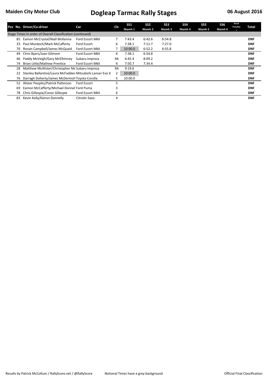|    | Pos No. Driver/Co-driver                                   | Car                     | Cls       | <b>SS1</b><br>Niamh 1 | SS <sub>2</sub><br>Niamh 2 | SS <sub>3</sub><br>Niamh 3 | SS <sub>4</sub><br>Niamh 4 | SS <sub>5</sub><br>Niamh 5 | SS <sub>6</sub><br>Niamh 6 | Road<br>Penaltie<br>S | Total      |
|----|------------------------------------------------------------|-------------------------|-----------|-----------------------|----------------------------|----------------------------|----------------------------|----------------------------|----------------------------|-----------------------|------------|
|    | Stage Times in order of Overall Classification (continued) |                         |           |                       |                            |                            |                            |                            |                            |                       |            |
| 85 | Eamon McCrystal/Niall McKenna                              | <b>Ford Escort MkII</b> | 7         | 7:43.4                | 6:42.6                     | 6:54.8                     |                            |                            |                            |                       | <b>DNF</b> |
| 33 | Paul Murdoch/Mark McCafferty                               | Ford Escort             | 6         | 7:38.1                | 7:11.7                     | 7:27.0                     |                            |                            |                            |                       | <b>DNF</b> |
| 70 | Ronan Campbell/James McQuaid                               | <b>Ford Escort MkII</b> | 7         | 10:00.0               | 6:52.2                     | 6:55.8                     |                            |                            |                            |                       | <b>DNF</b> |
| 49 | Chris Byers/Joan Gilmore                                   | <b>Ford Escort MkII</b> | 6         | 7:38.1                | 6:54.8                     |                            |                            |                            |                            |                       | <b>DNF</b> |
| 46 | Paddy McVeigh/Gary McElhinney                              | Subaru Impreza          | <b>9A</b> | 6:45.4                | 8:09.2                     |                            |                            |                            |                            |                       | <b>DNF</b> |
| 74 | Brian Little/Mathew Prentice                               | <b>Ford Escort MkII</b> | 4         | 7:50.7                | 7:34.4                     |                            |                            |                            |                            |                       | <b>DNF</b> |
| 28 | Matthew McAlister/Christopher Mc Subaru Impreza            |                         | <b>9A</b> | 9:19.6                |                            |                            |                            |                            |                            |                       | <b>DNF</b> |
| 22 | Stanley Ballantine/Laura McFadden Mitsubishi Lancer Evo X  |                         | 2         | 10:00.0               |                            |                            |                            |                            |                            |                       | <b>DNF</b> |
| 76 | Darragh Doherty/James McDermot Toyota Corolla              |                         | 5         | 10:00.0               |                            |                            |                            |                            |                            |                       | <b>DNF</b> |
| 52 | Alister Peoples/Patrick Patterson                          | Ford Escort             | 5         |                       |                            |                            |                            |                            |                            |                       | <b>DNF</b> |
| 69 | Eamon McCafferty/Michael Donnel Ford Puma                  |                         | 3         |                       |                            |                            |                            |                            |                            |                       | <b>DNF</b> |
| 78 | Chris Gillespie/Conor Gillespie                            | Ford Escort MkII        | 6         |                       |                            |                            |                            |                            |                            |                       | <b>DNF</b> |
| 83 | Kevin Kelly/Kieron Donnelly                                | Citroën Saxo            | 4         |                       |                            |                            |                            |                            |                            |                       | <b>DNF</b> |
|    |                                                            |                         |           |                       |                            |                            |                            |                            |                            |                       |            |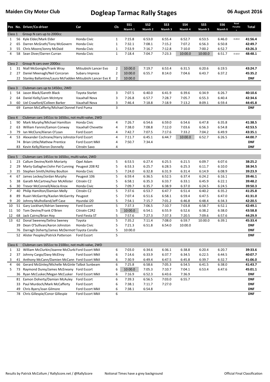|                |    | Pos No. Driver/Co-driver                                  | Car                   | Cls            | <b>SS1</b><br>Niamh 1 | SS <sub>2</sub><br>Niamh 2 | SS <sub>3</sub><br>Niamh 3 | <b>SS4</b><br>Niamh 4 | SS <sub>5</sub><br>Niamh 5 | SS <sub>6</sub><br>Niamh 6 | Road<br>Penaltie | Total      |
|----------------|----|-----------------------------------------------------------|-----------------------|----------------|-----------------------|----------------------------|----------------------------|-----------------------|----------------------------|----------------------------|------------------|------------|
| Class 1        |    | Group N cars up to 2000cc                                 |                       |                |                       |                            |                            |                       |                            |                            |                  |            |
| 1              | 56 | Kyle Elder/Mark Elder                                     | Honda Civic           | $\mathbf{1}$   | 7:15.8                | 6:53.0                     | 6:55.4                     | 6:52.7                | 6:53.5                     | 6:46.0                     | 0:20.0           | 41:56.4    |
| $\overline{2}$ | 65 | Darren McGrath/Tony McGovern                              | Honda Civic           | $\mathbf 1$    | 7:32.1                | 7:08.1                     | 7:15.2                     | 7:07.2                | 6:56.3                     | 6:50.8                     |                  | 42:49.7    |
| 3              | 55 | Chris Moore/Jonny McDaid                                  | Honda Civic           | 1              | 7:53.9                | 7:16.7                     | 7:12.8                     | 7:10.0                | 7:00.2                     | 6:52.7                     |                  | 43:26.3    |
| $\overline{4}$ | 58 | Sean Diver/Darren Curran                                  | Honda Civic           | $\mathbf{1}$   | 7:18.4                | 7:04.7                     | 7:23.3                     | 10:00.0               | 10:00.0                    | 6:51.7                     | 0:10.0           | 48:48.1    |
| Class 2        |    | Group N cars over 2000cc                                  |                       |                |                       |                            |                            |                       |                            |                            |                  |            |
| $\mathbf{1}$   | 31 | Niall McGonigle/Frank Wray                                | Mitsubishi Lancer Evo | $\overline{2}$ | 10:00.0               | 7:19.7                     | 6:53.4                     | 6:31.5                | 6:20.6                     | 6:19.5                     |                  | 43:24.7    |
| 2              | 27 | Daniel Meenagh/Neil Corcoran                              | Subaru Impreza        | 2              | 10:00.0               | 6:55.7                     | 8:14.0                     | 7:04.6                | 6:43.7                     | 6:37.2                     |                  | 45:35.2    |
|                | 22 | Stanley Ballantine/Laura McFadden Mitsubishi Lancer Evo X |                       | 2              | 10:00.0               |                            |                            |                       |                            |                            |                  | <b>DNF</b> |
|                |    |                                                           |                       |                |                       |                            |                            |                       |                            |                            |                  |            |
| Class 3        |    | Clubman cars up to 1450cc, 2WD                            |                       |                |                       |                            |                            |                       |                            |                            |                  |            |
| $\mathbf{1}$   | 54 | Jason Black/Gareth Black                                  | Toyota Starlet        | 3              | 7:07.5                | 6:40.0                     | 6:41.9                     | 6:39.6                | 6:34.9                     | 6:26.7                     |                  | 40:10.6    |
| $\overline{2}$ | 64 | Daniel Kelly/Liam McIntyre                                | Vauxhall Nova         | 3              | 7:26.8                | 6:57.7                     | 7:28.7                     | 7:05.7                | 6:55.3                     | 6:40.4                     |                  | 42:34.6    |
| 3              | 60 | Uel Crawford/Colleen Barker                               | Vauxhall Nova         | 3              | 7:46.4                | 7:18.8                     | 7:18.9                     | 7:13.2                | 8:09.1                     | 6:59.4                     |                  | 44:45.8    |
|                | 69 | Eamon McCafferty/Michael Donnel Ford Puma                 |                       | 3              |                       |                            |                            |                       |                            |                            |                  | <b>DNF</b> |
| Class 4        |    | Clubman cars 1451cc to 1650cc, not multi-valve, 2WD       |                       |                |                       |                            |                            |                       |                            |                            |                  |            |
| $\mathbf{1}$   | 90 | Mark Murphy/Michael Hamilton                              | Honda Civic           | 4              | 7:26.7                | 6:54.6                     | 6:59.0                     | 6:54.6                | 6:47.8                     | 6:35.8                     |                  | 41:38.5    |
| $\overline{2}$ | 63 | William Fannin/Eamon Conway                               | Vauxhall Chevette     | 4              | 7:38.0                | 7:08.8                     | 7:12.0                     | 7:03.6                | 6:56.3                     | 6:54.8                     |                  | 42:53.5    |
| 3              | 79 | Ian McClure/Kieran O'Loan                                 | Ford Escort           | 4              | 7:42.7                | 7:07.5                     | 7:17.6                     | 7:33.2                | 7:04.2                     | 6:49.9                     |                  | 43:35.1    |
| $\overline{4}$ | 53 | Alexander Cochrane/Harry Johnstor Ford Escort             |                       | 4              | 7:11.7                | 6:45.1                     | 6:44.7                     | 10:00.0               | 6:52.7                     | 6:26.5                     |                  | 44:00.7    |
|                | 74 | Brian Little/Mathew Prentice                              | Ford Escort MkII      | 4              | 7:50.7                | 7:34.4                     |                            |                       |                            |                            |                  | <b>DNF</b> |
|                | 83 | Kevin Kelly/Kieron Donnelly                               | Citroën Saxo          | 4              |                       |                            |                            |                       |                            |                            |                  | <b>DNF</b> |
|                |    |                                                           |                       |                |                       |                            |                            |                       |                            |                            |                  |            |
| Class 5        |    | Clubman cars 1451cc to 1650cc, multi-valve, 2WD           |                       |                |                       |                            |                            |                       |                            |                            |                  |            |
| 1              | 23 | Callum Devine/Keith Moriarty                              | Opel Adam             | 5              | 6:53.5                | 6:27.4                     | 6:25.5                     | 6:21.5                | 6:09.7                     | 6:07.6                     |                  | 38:25.2    |
| $\overline{2}$ | 29 | Marty Gallagher/John Pat Cunning Peugeot 208 R2           |                       | 5              | 6:53.3                | 6:25.7                     | 6:28.5                     | 6:25.3                | 6:11.7                     | 6:10.0                     |                  | 38:34.5    |
| 3              | 35 | Stephen Smith/Ashley Boulton                              | Honda Civic           | 5              | 7:24.0                | 6:32.8                     | 6:31.9                     | 6:31.4                | 6:14.9                     | 6:08.9                     |                  | 39:23.9    |
| 4              | 67 | James Leckey/Jordan Murphy                                | Peugeot 106           | 5              | 6:59.4                | 6:36.5                     | 6:52.5                     | 6:37.4                | 6:24.2                     | 6:16.1                     |                  | 39:46.1    |
| 5              | 38 | Garath McCartney/Ivor McAllister                          | Citroën C2            | 5              | 6:58.1                | 6:35.3                     | 6:33.7                     | 6:33.1                | 6:45.9                     | 6:22.1                     |                  | 39:48.2    |
| 6              | 30 | Trevor McConnell/Alecia Knox                              | Honda Civic           | 5              | 7:09.7                | 6:35.7                     | 6:38.9                     | 6:37.0                | 6:24.5                     | 6:24.5                     |                  | 39:50.3    |
| $\overline{7}$ | 40 | Philip Hamilton/Damian Melly                              | Citroën C2            | 5              | 7:37.6                | 6:53.7                     | 6:47.7                     | 6:51.4                | 6:40.2                     | 6:35.2                     |                  | 41:25.8    |
| 8              | 89 | Ruairi McGarrity/Kaolan McGarrity Peugeot                 |                       | 5              | 7:07.4                | 6:51.6                     | 6:58.1                     | 6:59.4                | 6:47.5                     | 6:47.0                     |                  | 41:31.0    |
| 9              | 20 | Johnny Mulholland/Jeff Case                               | Hyundai i20           | 5              | 7:54.1                | 7:15.7                     | 7:01.2                     | 6:46.8                | 6:48.4                     | 6:34.3                     |                  | 42:20.5    |
| 10             | 51 | Gary Lockhart/Adrian Sweeney                              | Ford Escort           | 5              | 7:37.3                | 7:06.5                     | 7:10.7                     | 7:03.8                | 6:58.7                     | 6:52.1                     |                  | 42:49.1    |
| 11             | 50 | Tom Devine/Frank O'Brien                                  | Citroën C2R2          | 5              | 10:00.0               | 6:54.1                     | 6:55.9                     | 6:52.6                | 6:38.2                     | 6:38.0                     |                  | 43:58.8    |
| 12             | 68 | Jack Cairns/Brian Hoy                                     | Ford Fiesta ST        | 5              | 7:57.6                | 7:27.3                     | 7:37.3                     | 7:20.5                | 7:09.6                     | 6:57.6                     |                  | 44:29.9    |
| 13             |    | 62 Donal Sweeney/Selina Sweney                            | Toyota                | 5              | 7:35.2                | 7:11.4                     | 7:08.0                     | 6:59.7                | 10:00.0                    | 6:39.1                     |                  | 45:33.4    |
|                |    | 39 Dean O'Sullivan/Aaron Johnston                         | Honda Civic           | 5              | 7:21.3                | 6:51.8                     | 6:54.0                     | 10:00.0               |                            |                            |                  | <b>DNF</b> |
|                | 76 | Darragh Doherty/James McDermot Toyota Corolla             |                       | 5              | 10:00.0               |                            |                            |                       |                            |                            |                  | <b>DNF</b> |
|                |    | 52 Alister Peoples/Patrick Patterson                      | Ford Escort           | 5              |                       |                            |                            |                       |                            |                            |                  | <b>DNF</b> |
| Class 6        |    | Clubman cars 1651cc to 2100cc, not multi-valve, 2WD       |                       |                |                       |                            |                            |                       |                            |                            |                  |            |
| $\mathbf{1}$   | 32 | William McClurkin/Joanne McClurki Ford Escort MkII        |                       | 6              | 7:03.0                | 6:34.6                     | 6:36.1                     | 6:38.8                | 6:20.4                     | 6:20.7                     |                  | 39:33.6    |
| $\overline{2}$ | 37 | Johnny Cargo/Davy McElroy                                 | Ford Escort MkII      | 6              | 7:14.6                | 6:33.9                     | 6:37.7                     | 6:34.5                | 6:22.5                     | 6:44.5                     |                  | 40:07.7    |
| 3              | 41 | Anthony McCann/Damien McCann Ford Escort MkII             |                       | 6              | 7:30.9                | 6:49.4                     | 6:47.5                     | 6:45.8                | 6:39.7                     | 6:32.7                     |                  | 41:06.0    |
| 4              | 66 | Gerard McGinley/Michelle McGinle Talbot Sunbeam           |                       | 6              | 7:25.8                | 6:58.6                     | 7:05.3                     | 6:54.5                | 6:41.5                     | 6:38.0                     |                  | 41:43.7    |
| 5              | 73 | Raymond Durey/James McEneany Ford Escort                  |                       | 6              | 10:00.0               | 7:05.3                     | 7:10.7                     | 7:04.1                | 6:53.4                     | 6:47.6                     |                  | 45:01.1    |
|                | 36 | Ryan McCusker/Megan McCusker Ford Escort MkII             |                       | 6              | 7:16.9                | 6:52.3                     | 6:43.6                     | 7:36.9                |                            |                            |                  | <b>DNF</b> |
|                | 81 | Eamon Doherty/Damian McAuley                              | Ford Escort           | 6              | 7:39.3                | 6:56.5                     | 7:03.0                     | 6:55.7                |                            |                            |                  | <b>DNF</b> |
|                | 33 | Paul Murdoch/Mark McCafferty                              | Ford Escort           | 6              | 7:38.1                | 7:11.7                     | 7:27.0                     |                       |                            |                            |                  | <b>DNF</b> |
|                | 49 | Chris Byers/Joan Gilmore                                  | Ford Escort MkII      | 6              | 7:38.1                | 6:54.8                     |                            |                       |                            |                            |                  | <b>DNF</b> |
|                |    | 78 Chris Gillespie/Conor Gillespie                        | Ford Escort MkII      | 6              |                       |                            |                            |                       |                            |                            |                  | DNF        |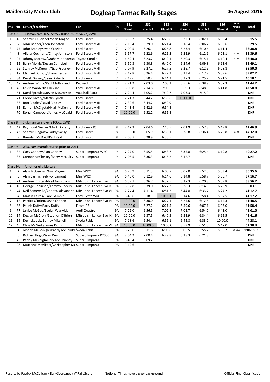|                              |                | Pos No. Driver/Co-driver                                      | Car                             | <b>Cls</b>     | <b>SS1</b>        | SS <sub>2</sub>  | SS <sub>3</sub>  | <b>SS4</b>       | SS5              | SS <sub>6</sub>  | Road<br>Penaltie | Total              |
|------------------------------|----------------|---------------------------------------------------------------|---------------------------------|----------------|-------------------|------------------|------------------|------------------|------------------|------------------|------------------|--------------------|
|                              |                |                                                               |                                 |                | Niamh 1           | Niamh 2          | Niamh 3          | Niamh 4          | Niamh 5          | Niamh 6          |                  |                    |
| Class <sub>7</sub>           |                | Clubman cars 1651cc to 2100cc, multi-valve, 2WD               |                                 |                |                   |                  |                  |                  |                  |                  |                  |                    |
| $\mathbf{1}$<br>$\mathbf{2}$ | 18<br>7        | Seamus O'Connell/Sean Magee<br>John Bonner/Leon Johnston      | Ford Escort<br>Ford Escort MkII | 7              | 6:50.7<br>7:10.4  | 6:25.4<br>6:29.0 | 6:25.6<br>6:21.4 | 6:22.3<br>6:18.4 | 6:02.1<br>6:06.7 | 6:09.4<br>6:03.6 |                  | 38:15.5<br>38:29.5 |
| 3                            | 75             | John Bradley/Ryan Crozier                                     | Ford Escort                     | 7<br>7         |                   | 6:26.1           | 6:26.8           | 6:23.4           | 6:10.6           | 6:11.4           |                  | 38:38.8            |
| $\overline{\mathbf{4}}$      | 8              | Alister Cochrane/Chrisy Johnston                              | Ford Escort MkII                | 7              | 7:00.5<br>6:57.7  | 6:22.6           | 6:21.2           | 6:22.9           | 6:12.1           | 6:03.1           | 0:20.0           | 38:39.6            |
| 5                            | 25             | Johnny Morrow/Graham Hendersor Toyota Corolla                 |                                 | $\overline{7}$ | 6:59.4            | 6:23.7           | 6:19.1           | 6:20.3           | 6:15.1           | 6:10.4           | 0:20.0           | 38:48.0            |
| 6                            | 15             | Barry Morris/Declan Campbell                                  | Ford Escort MkII                | $\overline{7}$ |                   | 6:30.8           | 6:40.0           |                  | 6:09.8           | 6:13.6           |                  | 38:49.1            |
| $\overline{7}$               | 26             | Stanley McKeown/Nigel Gourley                                 | Ford Escort MkII                | 7              | 6:50.3<br>7:07.9  | 6:27.2           | 6:27.5           | 6:24.6<br>6:25.7 | 6:12.9           | 6:08.8           |                  | 38:50.0            |
| 8                            | 17             |                                                               | Ford Escort MkII                | $\overline{7}$ |                   | 6:26.4           |                  |                  | 6:17.7           |                  |                  | 39:02.2            |
| 9                            | 84             | Michael Dunlop/Shane Bertram<br>Derek Gurney/Sean Doherty     | Ford Sierra                     | $\overline{7}$ | 7:17.8<br>7:19.6  | 6:50.2           | 6:27.3<br>6:44.3 | 6:23.4<br>6:37.3 | 6:25.2           | 6:09.6<br>6:21.5 |                  | 40:18.1            |
| 10                           | 47             | Andrew White/Paul Mulholland                                  | Peugeot                         | $\overline{7}$ | 7:21.2            | 7:03.0           | 7:08.2           | 6:55.6           | 6:38.9           | 6:37.3           |                  | 41:44.2            |
| 11                           | 48             | Kevin Ward/Niall Devine                                       | Ford Escort MkII                | $\overline{7}$ |                   | 7:14.8           |                  | 6:59.3           | 6:48.6           |                  |                  | 42:58.8            |
|                              |                |                                                               | Vauxhall Astra                  | 7              | 8:05.8            |                  | 7:08.5           |                  |                  | 6:41.8           |                  | <b>DNF</b>         |
|                              | 61<br>71       | Daryl Sproule/Steven McCrossan<br>Conor Lavery/Martin Lynch   | Ford Escort                     | $\overline{7}$ | 7:24.4<br>7:21.3  | 7:05.2<br>6:44.2 | 7:19.7<br>6:55.6 | 7:03.3           | 7:15.9           |                  |                  | <b>DNF</b>         |
|                              | 86             | Rob Riddles/David Riddles                                     | Ford Escort MkII                | $\overline{7}$ | 7:32.6            | 6:44.7           | 6:52.9           | 10:00.0          |                  |                  |                  | <b>DNF</b>         |
|                              | 85             |                                                               | Ford Escort MkII                | $\overline{7}$ |                   |                  |                  |                  |                  |                  |                  | <b>DNF</b>         |
|                              | 70             | Eamon McCrystal/Niall McKenna<br>Ronan Campbell/James McQuaid | Ford Escort MkII                | 7              | 7:43.4<br>10:00.0 | 6:42.6<br>6:52.2 | 6:54.8<br>6:55.8 |                  |                  |                  |                  | <b>DNF</b>         |
|                              |                |                                                               |                                 |                |                   |                  |                  |                  |                  |                  |                  |                    |
| Class 8                      |                | Clubman cars over 2100cc, 2WD                                 |                                 |                |                   |                  |                  |                  |                  |                  |                  |                    |
| $\mathbf{1}$                 | 42             | Raymond Gurney/Mark Doherty                                   | Ford Sierra RS                  | 8              | 7:42.3            | 7:04.6           | 7:10.5           | 7:01.9           | 6:57.8           | 6:49.8           |                  | 42:46.9            |
| $\overline{2}$               | 43             | Seamus Hegarty/Paddy Swilly                                   | Ford Escort                     | 8              | 10:00.0           | 9:05.9           | 6:55.1           | 6:38.8           | 6:36.4           | 6:25.8           | 1:50.0           | 47:32.0            |
|                              | 9              | Brendan McDaid/Karl Reid                                      | Ford Escort                     | 8              | 7:08.7            | 6:28.9           | 6:33.5           |                  |                  |                  |                  | <b>DNF</b>         |
|                              |                |                                                               |                                 |                |                   |                  |                  |                  |                  |                  |                  |                    |
| Class 9                      |                | WRC cars manufactured prior to 2011                           |                                 |                |                   |                  |                  |                  |                  |                  |                  |                    |
| $\mathbf{1}$                 | 82             | Gary Cooney/Alan Cooney                                       | Subaru Impreza WRC              | 9              | 7:27.0            | 6:55.5           | 6:43.7           | 6:35.8           | 6:25.4           | 6:19.8           |                  | 40:27.2            |
|                              |                | 87 Connor McCloskey/Barry McNulty                             | Subaru Impreza                  | 9              | 7:06.5            | 6:36.3           | 6:15.2           | 6:12.7           |                  |                  |                  | <b>DNF</b>         |
|                              |                |                                                               |                                 |                |                   |                  |                  |                  |                  |                  |                  |                    |
| Class 9A                     |                | All other eligible cars                                       |                                 |                |                   |                  |                  |                  |                  |                  |                  |                    |
| $\mathbf{1}$                 | $\overline{2}$ | Alan McGeehan/Nial Magee                                      | Mini WRC                        | 9A             | 6:25.9            | 6:11.3           | 6:05.7           | 6:07.0           | 5:52.3           | 5:53.4           |                  | 36:35.6            |
| $\overline{2}$               | 5              | Alan Carmichael/Ivor Lamont                                   | Mini WRC                        | <b>9A</b>      | 6:40.0            | 6:12.9           | 6:14.6           | 6:14.8           | 5:58.7           | 5:55.7           |                  | 37:16.7            |
| 3                            | 21             | Andrew Bustard/Neil Armstrong                                 | Mitsubishi Lancer Evo           | <b>9A</b>      | 6:59.1            | 6:26.7           | 6:32.5           | 6:27.3           | 6:20.8           | 6:09.8           |                  | 38:56.2            |
| 4                            | 10             | George Robinson/Tommy Speers                                  | Mitsubishi Lancer Evo IX        | 9A             | 6:52.8            | 6:39.0           | 6:27.3           | 6:28.3           | 6:14.8           | 6:20.9           |                  | 39:03.1            |
| 5                            | 44             | Neil Somerville/Andrew Alexander Mitsubishi Lancer Evo VI     |                                 | 9A             | 7:24.4            | 7:11.4           | 6:51.2           | 6:44.8           | 6:33.7           | 6:27.2           |                  | 41:12.7            |
| 6                            | 4              | Martin Cairns/Clare Gamble                                    | Ford Fiesta WRC                 | <b>9A</b>      | 6:48.6            | 6:18.1           | 10:00.0          | 6:14.6           | 5:58.4           | 5:57.5           |                  | 41:17.2            |
| $\overline{7}$               | 12             | Patrick O'Brien/Kevin O'Brien                                 | Mitsubishi Lancer Evo VI        | 9A             | 10:00.0           | 6:30.0           | 6:27.1           | 6:24.6           | 6:12.5           | 6:14.3           |                  | 41:48.5            |
| 8                            | 88             | Pauric Duffy/Barry Duffy                                      | Fiesta R5                       | 9A             | 10:00.0           | 6:27.2           | 6:21.5           | 6:59.6           | 6:07.1           | 6:03.0           |                  | 41:58.4            |
| 9                            | 77             | Janice McGee/Evelyn Warwick                                   | Audi Quattro                    | 9A             | 7:22.0            | 6:56.5           | 7:02.8           | 7:02.7           | 6:54.0           | 6:43.0           |                  | 42:01.0            |
| 10                           | 14             | Declan McCrory/Stephen O'Brien                                | Mitsubishi Lancer Evo IX        | 9A             | 10:00.0           | 6:37.5           | 6:40.3           | 6:33.9           | 6:34.4           | 6:15.5           |                  | 42:41.6            |
| 11                           | 19             | Derrick Jobb/Barney Mitchell                                  | Škoda Fabia                     | <b>9A</b>      | 7:18.6            | 6:54.4           | 6:56.1           | 6:45.8           | 6:33.2           | 10:00.0          |                  | 44:28.1            |
| 12                           | 45             | Chris McGurk/James Duffin                                     | Mitsubishi Lancer Evo VI        | 9A             | 10:00.0           | 10:00.0          | 10:00.0          | 8:59.9           | 6:51.5           | 6:47.0           |                  | 52:38.4            |
| 13                           | $\mathbf{1}$   | Joseph McGonigle/Paddy McCrudd Škoda Fabia                    |                                 | <b>9A</b>      | 6:25.0            | 6:11.8           | 6:08.6           | 6:05.5           | 5:55.2           | 5:53.2           | 30:00.0          | 1:06:39.3          |
|                              | 6              | Richard Hogg/Sean Devlin                                      | Subaru Impreza P2000            | <b>9A</b>      | 7:04.2            | 7:00.4           | 6:29.8           | 6:28.3           | 6:21.8           |                  |                  | <b>DNF</b>         |
|                              | 46             | Paddy McVeigh/Gary McElhinney                                 | Subaru Impreza                  | 9A             | 6:45.4            | 8:09.2           |                  |                  |                  |                  |                  | <b>DNF</b>         |
|                              |                | 28 Matthew McAlister/Christopher Mc Subaru Impreza            |                                 | <b>9A</b>      | 9:19.6            |                  |                  |                  |                  |                  |                  | <b>DNF</b>         |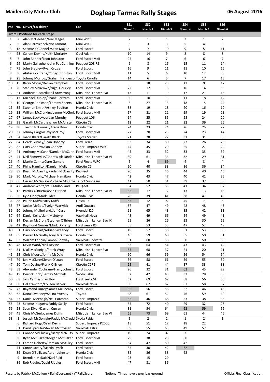|                |          | Pos No. Driver/Co-driver                                                 | Car                                        | <b>SS1</b>     | SS <sub>2</sub> | SS <sub>3</sub> | <b>SS4</b>   | SS <sub>5</sub> | SS6          |  |
|----------------|----------|--------------------------------------------------------------------------|--------------------------------------------|----------------|-----------------|-----------------|--------------|-----------------|--------------|--|
|                |          | Overall Positions for each Stage                                         |                                            | Niamh 1        | Niamh 2         | Niamh 3         | Niamh 4      | Niamh 5         | Niamh 6      |  |
| 1              | 2        | Alan McGeehan/Nial Magee                                                 | Mini WRC                                   | $\overline{2}$ | 1               | 1               | 2            | 1               | 2            |  |
| $\overline{2}$ | 5        | Alan Carmichael/Ivor Lamont                                              | Mini WRC                                   | 3              | 3               | 3               | 5            | 4               | 3            |  |
| 3              | 18       | Seamus O'Connell/Sean Magee                                              | Ford Escort                                | 7              | 7               | 10              | 9            | 5               | 11           |  |
| 4              | 23       | Callum Devine/Keith Moriarty                                             | Opel Adam                                  | 10             | 14              | 9               | 8            | 8               | 8            |  |
| 5              | 7        | John Bonner/Leon Johnston                                                | Ford Escort MkII                           | 25             | 16              | 7               | 6            | 6               | 7            |  |
| 6              | 29       | Marty Gallagher/John Pat Cunning                                         | Peugeot 208 R2                             | 9              | 8               | 16              | 15           | 11              | 14           |  |
| 7              | 75       | John Bradley/Ryan Crozier                                                | Ford Escort                                | 16             | 9               | $11\,$          | 11           | 10              | 16           |  |
| 8              | 8        | Alister Cochrane/Chrisy Johnston                                         | Ford Escort MkII                           | 11             | 5               | 6               | 10           | 12              | 6            |  |
| 9              | 25       | Johnny Morrow/Graham Hendersor Toyota Corolla                            |                                            | 14<br>6        | 6               | 5<br>25         | 7            | 17<br>9         | 15<br>17     |  |
| 10<br>11       | 15<br>26 | Barry Morris/Declan Campbell<br>Stanley McKeown/Nigel Gourley            | Ford Escort MkII<br>Ford Escort MkII       | 22             | 18<br>12        | 15              | 13<br>16     | 14              | 9            |  |
| 12             | 21       | Andrew Bustard/Neil Armstrong                                            | Mitsubishi Lancer Evo                      | 13             | 11              | 19              | 17           | 21              | 13           |  |
| 13             | 17       | Michael Dunlop/Shane Bertram                                             | Ford Escort MkII                           | 30             | 10              | 13              | 11           | 18              | 12           |  |
| 14             |          | 10 George Robinson/Tommy Speers                                          | Mitsubishi Lancer Evo IX                   | 8              | 27              | 13              | 18           | 15              | 24           |  |
| 15             | 35       | Stephen Smith/Ashley Boulton                                             | Honda Civic                                | 38             | 19              | 18              | 20           | 16              | 10           |  |
| 16             | 32       | William McClurkin/Joanne McClurki Ford Escort MkII                       |                                            | 17             | 21              | 22              | 29           | 19              | 23           |  |
| 17             | 67       | James Leckey/Jordan Murphy                                               | Peugeot 106                                | 14             | 25              | 35              | 28           | 24              | 20           |  |
| 18             | 38       | Garath McCartney/Ivor McAllister                                         | Citroën C2                                 | 12             | 22              | 21              | 22           | 39              | 26           |  |
| 19             |          | 30 Trevor McConnell/Alecia Knox                                          | Honda Civic                                | 24             | 23              | 24              | 26           | 25              | 27           |  |
| 20             | 37       | Johnny Cargo/Davy McElroy                                                | Ford Escort MkII                           | 27             | 20              | 23              | 24           | 23              | 44           |  |
| 21             | 54       | Jason Black/Gareth Black                                                 | <b>Toyota Starlet</b>                      | 21             | 28              | 27              | 31           | 31              | 30           |  |
| 22             | 84       | Derek Gurney/Sean Doherty                                                | Ford Sierra                                | 33             | 34              | 30              | 27           | 26              | 25           |  |
| 23             | 82<br>41 | Gary Cooney/Alan Cooney<br>Anthony McCann/Damien McCann Ford Escort MkII | Subaru Impreza WRC                         | 44<br>45       | 45<br>33        | 29<br>32        | 25<br>33     | 27<br>35        | 22<br>32     |  |
| 24<br>25       | 44       | Neil Somerville/Andrew Alexander                                         | Mitsubishi Lancer Evo VI                   | 39             | 61              | 34              | 32           | 29              | 31           |  |
| 26             | 4        | Martin Cairns/Clare Gamble                                               | Ford Fiesta WRC                            | 5              | 4               | 69              | 4            | 3               | 4            |  |
| 27             | 40       | Philip Hamilton/Damian Melly                                             | Citroën C2                                 | 50             | 40              | 33              | 36           | 36              | 34           |  |
| 28             | 89       | Ruairi McGarrity/Kaolan McGarrity                                        | Peugeot                                    | 20             | 35              | 46              | 44           | 40              | 46           |  |
| 29             | 90       | Mark Murphy/Michael Hamilton                                             | Honda Civic                                | 42             | 43              | 47              | 40           | 41              | 35           |  |
| 30             | 66       | Gerard McGinley/Michelle McGinle Talbot Sunbeam                          |                                            | 41             | 50              | 51              | 39           | 37              | 38           |  |
| 31             | 47       | Andrew White/Paul Mulholland                                             | Peugeot                                    | 34             | 52              | 53              | 41           | 34              | 37           |  |
| 32             | 12       | Patrick O'Brien/Kevin O'Brien                                            | Mitsubishi Lancer Evo VI                   | 65             | 17              | 12              | 13           | 13              | 18           |  |
| 33             | 56       | Kyle Elder/Mark Elder                                                    | Honda Civic                                | 28             | 39              | 41              | 38           | 47              | 45           |  |
| 34             | 88       | Pauric Duffy/Barry Duffy                                                 | Fiesta R5                                  | 65             | 12              | 8               | 45           | $\overline{7}$  | 5            |  |
| 35             | 77       | Janice McGee/Evelyn Warwick                                              | Audi Quattro                               | 37             | 47              | 49              | 48           | 48              | 43           |  |
| 36             | 20       | Johnny Mulholland/Jeff Case                                              | Hyundai i20                                | 61             | 65              | 48              | 35           | 42              | 33           |  |
| 37             | 64       | Daniel Kelly/Liam McIntyre                                               | Vauxhall Nova                              | 43             | 49              | 66              | 54           | 49              | 41           |  |
| 38<br>39       | 14<br>42 | Declan McCrory/Stephen O'Brien                                           | Mitsubishi Lancer Evo IX<br>Ford Sierra RS | 65<br>55       | 26<br>53        | 26<br>55        | 23<br>47     | 30<br>52        | 19<br>49     |  |
| 40             |          | Raymond Gurney/Mark Doherty<br>51 Gary Lockhart/Adrian Sweeney           | Ford Escort                                | 49             | 57              | 56              | 51           | 53              | 53           |  |
| 41             | 65       | Darren McGrath/Tony McGovern                                             | Honda Civic                                | 46             | 59              | 60              | 55           | 50              | 51           |  |
| 42             | 63       | William Fannin/Eamon Conway                                              | Vauxhall Chevette                          | 51             | 60              | 58              | 50           | 50              | 55           |  |
| 43             | 48       | Kevin Ward/Niall Devine                                                  | Ford Escort MkII                           | 63             | 64              | 54              | 43           | 43              | 42           |  |
| 44             | 31       | Niall McGonigle/Frank Wray                                               | Mitsubishi Lancer Evo                      | 65             | 68              | 37              | 21           | 20              | 21           |  |
| 45             | 55       | Chris Moore/Jonny McDaid                                                 | Honda Civic                                | 60             | 66              | 59              | 56           | 54              | 54           |  |
| 46             | 79       | Ian McClure/Kieran O'Loan                                                | Ford Escort                                | 56             | 58              | 61              | 59           | 55              | 50           |  |
| 47             | 50       | Tom Devine/Frank O'Brien                                                 | Citroën C2R2                               | 65             | 41              | 44              | 37           | 33              | 38           |  |
| 48             | 53       | Alexander Cochrane/Harry Johnstor Ford Escort                            |                                            | 26             | 32              | 31              | 62           | 45              | 29           |  |
| 49             | 19       | Derrick Jobb/Barney Mitchell                                             | Škoda Fabia                                | 32             | 42              | 45              | 33           | 28              | 58           |  |
| 50             | 68       | Jack Cairns/Brian Hoy                                                    | Ford Fiesta ST                             | 62             | 69              | 67              | 58           | 56              | 56           |  |
| 51             | 60       | Uel Crawford/Colleen Barker                                              | Vauxhall Nova                              | 58             | 67              | 62              | 57           | 58              | 57           |  |
| 52<br>53       | 73<br>62 | Raymond Durey/James McEneany<br>Donal Sweeney/Selina Sweney              | Ford Escort<br>Toyota                      | 65<br>48       | 56<br>61        | 56<br>52        | 52<br>46     | 46<br>59        | 48<br>40     |  |
| 54             | 27       | Daniel Meenagh/Neil Corcoran                                             | Subaru Impreza                             | 65             | 46              | 68              | 53           | 38              | 36           |  |
| 55             | 43       | Seamus Hegarty/Paddy Swilly                                              | Ford Escort                                | 65             | 72              | 40              | 29           | 32              | 28           |  |
| 56             | 58       | Sean Diver/Darren Curran                                                 | Honda Civic                                | 31             | 54              | 64              | 62           | 59              | 52           |  |
| 57             | 45       | Chris McGurk/James Duffin                                                | Mitsubishi Lancer Evo VI                   | 65             | 73              | 69              | 61           | 44              | 46           |  |
| 58             | 1        | Joseph McGonigle/Paddy McCrudd Skoda Fabia                               |                                            | $\mathbf{1}$   | $\overline{2}$  | $\overline{2}$  | $\mathbf{1}$ | $\overline{2}$  | $\mathbf{1}$ |  |
|                | 6        | Richard Hogg/Sean Devlin                                                 | Subaru Impreza P2000                       | 18             | 51              | 17              | 18           | 22              |              |  |
|                | 61       | Daryl Sproule/Steven McCrossan                                           | Vauxhall Astra                             | 39             | 55              | 63              | 49           | 57              |              |  |
|                | 87       | Connor McCloskey/Barry McNulty                                           | Subaru Impreza                             | 19             | 24              | $\overline{a}$  | 3            |                 |              |  |
|                | 36       | Ryan McCusker/Megan McCusker                                             | Ford Escort MkII                           | 29             | 38              | 28              | 60           |                 |              |  |
|                | 81       | Eamon Doherty/Damian McAuley                                             | Ford Escort                                | 54             | 47              | 50              | 42           |                 |              |  |
|                | 71       | Conor Lavery/Martin Lynch                                                | Ford Escort                                | 35             | 30              | 42              | 62           |                 |              |  |
|                | 39<br>9  | Dean O'Sullivan/Aaron Johnston                                           | Honda Civic                                | 35             | 36              | 38              | 62           |                 |              |  |
|                |          | Brendan McDaid/Karl Reid<br>86 Rob Riddles/David Riddles                 | Ford Escort<br>Ford Escort MkII            | 23<br>47       | 15<br>31        | 20<br>36        |              |                 |              |  |
|                |          |                                                                          |                                            |                |                 |                 |              |                 |              |  |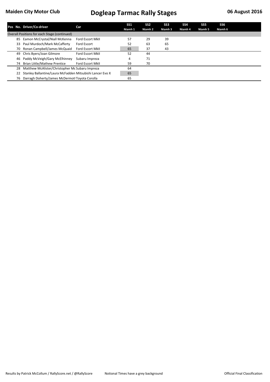|    | Pos No. Driver/Co-driver                                  | Car                     | SS1<br>Niamh 1 | SS <sub>2</sub><br>Niamh 2 | SS <sub>3</sub><br>Niamh 3 | SS <sub>4</sub><br>Niamh 4 | SS <sub>5</sub><br>Niamh 5 | SS <sub>6</sub><br>Niamh 6 |
|----|-----------------------------------------------------------|-------------------------|----------------|----------------------------|----------------------------|----------------------------|----------------------------|----------------------------|
|    | Overall Positions for each Stage (continued)              |                         |                |                            |                            |                            |                            |                            |
| 85 | Eamon McCrystal/Niall McKenna                             | <b>Ford Escort MkII</b> | 57             | 29                         | 39                         |                            |                            |                            |
| 33 | Paul Murdoch/Mark McCafferty                              | Ford Escort             | 52             | 63                         | 65                         |                            |                            |                            |
|    | 70 Ronan Campbell/James McQuaid                           | <b>Ford Escort MkII</b> | 65             | 37                         | 43                         |                            |                            |                            |
| 49 | Chris Byers/Joan Gilmore                                  | Ford Escort MkII        | 52             | 44                         |                            |                            |                            |                            |
| 46 | Paddy McVeigh/Gary McElhinney                             | Subaru Impreza          | 4              | 71                         |                            |                            |                            |                            |
| 74 | Brian Little/Mathew Prentice                              | <b>Ford Escort MkII</b> | 59             | 70                         |                            |                            |                            |                            |
| 28 | Matthew McAlister/Christopher Mc Subaru Impreza           |                         | 64             |                            |                            |                            |                            |                            |
|    | Stanley Ballantine/Laura McFadden Mitsubishi Lancer Evo X |                         | 65             |                            |                            |                            |                            |                            |
| 76 | Darragh Doherty/James McDermot Toyota Corolla             |                         | 65             |                            |                            |                            |                            |                            |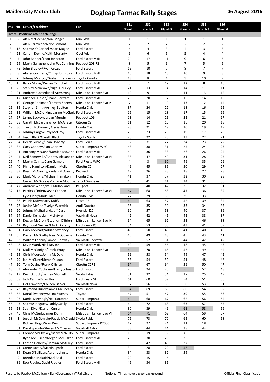|                |          | Pos No. Driver/Co-driver                                                 | Car                                        | <b>SS1</b>     | SS <sub>2</sub>     | SS <sub>3</sub> | <b>SS4</b>     | SS <sub>5</sub> | SS6            |  |
|----------------|----------|--------------------------------------------------------------------------|--------------------------------------------|----------------|---------------------|-----------------|----------------|-----------------|----------------|--|
|                |          | Overall Positions after each Stage                                       |                                            | Niamh 1        | Niamh 2             | Niamh 3         | Niamh 4        | Niamh 5         | Niamh 6        |  |
| 1              | 2        | Alan McGeehan/Nial Magee                                                 | Mini WRC                                   | 1              | 1                   | 1               | $\mathbf{1}$   | 1               | $\mathbf{1}$   |  |
| $\overline{2}$ | 5        | Alan Carmichael/Ivor Lamont                                              | Mini WRC                                   | $\overline{2}$ | $\overline{2}$      | $\overline{2}$  | $\overline{2}$ | $\overline{2}$  | $\overline{2}$ |  |
| 3              | 18       | Seamus O'Connell/Sean Magee                                              | Ford Escort                                | 6              | 4                   | 3               | 4              | 3               | 3              |  |
| 4              | 23       | Callum Devine/Keith Moriarty                                             | Opel Adam                                  | 9              | 6                   | 5               | 5              | 4               | 4              |  |
| 5              | 7        | John Bonner/Leon Johnston                                                | Ford Escort MkII                           | 24             | 17                  | 11              | 9              | 6               | 5              |  |
| 6              | 29       | Marty Gallagher/John Pat Cunning                                         | Peugeot 208 R2                             | 8              | 5                   | 6               | 7              | 5               | 6              |  |
| 7              | 75       | John Bradley/Ryan Crozier                                                | Ford Escort                                | 15             | 10                  | $\overline{7}$  | 8              | $\overline{7}$  | $\overline{7}$ |  |
| 8              | 8        | Alister Cochrane/Chrisy Johnston                                         | Ford Escort MkII                           | 10             | 18                  | 13              | 10             | 9               | 8              |  |
| 9              | 25       | Johnny Morrow/Graham Hendersor Toyota Corolla                            |                                            | 13<br>5        | 8<br>$\overline{7}$ | 4<br>12         | 3<br>12        | 10              | 9<br>10        |  |
| 10<br>11       | 15<br>26 | Barry Morris/Declan Campbell<br>Stanley McKeown/Nigel Gourley            | Ford Escort MkII<br>Ford Escort MkII       | 21             | 13                  | 14              | 14             | 8<br>11         | 11             |  |
| 12             | 21       | Andrew Bustard/Neil Armstrong                                            | Mitsubishi Lancer Evo                      | 12             | 9                   | 9               | 11             | 13              | 12             |  |
| 13             | 17       | Michael Dunlop/Shane Bertram                                             | Ford Escort MkII                           | 29             | 20                  | 17              | 15             | 14              | 13             |  |
| 14             |          | 10 George Robinson/Tommy Speers                                          | Mitsubishi Lancer Evo IX                   | 7              | 11                  | 10              | 13             | 12              | 14             |  |
| 15             | 35       | Stephen Smith/Ashley Boulton                                             | Honda Civic                                | 37             | 24                  | 22              | 18             | 16              | 15             |  |
| 16             | 32       | William McClurkin/Joanne McClurki Ford Escort MkII                       |                                            | 16             | 15                  | 18              | 17             | 15              | 16             |  |
| 17             | 67       | James Leckey/Jordan Murphy                                               | Peugeot 106                                | 13             | 14                  | 21              | 22             | 21              | 17             |  |
| 18             | 38       | Garath McCartney/Ivor McAllister                                         | Citroën C2                                 | 11             | 12                  | 15              | 16             | 20              | 18             |  |
| 19             |          | 30 Trevor McConnell/Alecia Knox                                          | Honda Civic                                | 23             | 21                  | 19              | 20             | 19              | 19             |  |
| 20             | 37       | Johnny Cargo/Davy McElroy                                                | Ford Escort MkII                           | 26             | 23                  | 20              | 19             | 17              | 20             |  |
| 21             | 54       | Jason Black/Gareth Black                                                 | <b>Toyota Starlet</b>                      | 20             | 22                  | 23              | 23             | 22              | 21             |  |
| 22             | 84       | Derek Gurney/Sean Doherty                                                | Ford Sierra                                | 32             | 31                  | 27              | 24             | 23              | 22             |  |
| 23             | 82<br>41 | Gary Cooney/Alan Cooney<br>Anthony McCann/Damien McCann Ford Escort MkII | Subaru Impreza WRC                         | 43<br>44       | 38                  | 31<br>33        | 25<br>26       | 24              | 23<br>24       |  |
| 24<br>25       | 44       | Neil Somerville/Andrew Alexander                                         | Mitsubishi Lancer Evo VI                   | 38             | 36<br>47            | 40              | 31             | 26<br>28        | 25             |  |
| 26             | 4        | Martin Cairns/Clare Gamble                                               | Ford Fiesta WRC                            | 4              | 3                   | 60              | 46             | 35              | 26             |  |
| 27             | 40       | Philip Hamilton/Damian Melly                                             | Citroën C2                                 | 49             | 45                  | 36              | 30             | 29              | 27             |  |
| 28             | 89       | Ruairi McGarrity/Kaolan McGarrity                                        | Peugeot                                    | 19             | 26                  | 28              | 28             | 27              | 28             |  |
| 29             | 90       | Mark Murphy/Michael Hamilton                                             | Honda Civic                                | 41             | 37                  | 37              | 32             | 30              | 29             |  |
| 30             | 66       | Gerard McGinley/Michelle McGinle Talbot Sunbeam                          |                                            | 40             | 41                  | 41              | 34             | 31              | 30             |  |
| 31             | 47       | Andrew White/Paul Mulholland                                             | Peugeot                                    | 33             | 40                  | 42              | 35             | 32              | 31             |  |
| 32             | 12       | Patrick O'Brien/Kevin O'Brien                                            | Mitsubishi Lancer Evo VI                   | 64             | 64                  | 58              | 47             | 36              | 32             |  |
| 33             | 56       | Kyle Elder/Mark Elder                                                    | Honda Civic                                | 27             | 29                  | 30              | 29             | 33              | 33             |  |
| 34             | 88       | Pauric Duffy/Barry Duffy                                                 | Fiesta R5                                  | 64             | 63                  | 57              | 52             | 39              | 34             |  |
| 35             | 77       | Janice McGee/Evelyn Warwick                                              | Audi Quattro                               | 36             | 35                  | 39              | 33             | 34              | 35             |  |
| 36             | 20       | Johnny Mulholland/Jeff Case                                              | Hyundai i20                                | 60             | 57                  | 53              | 40             | 37              | 36             |  |
| 37             | 64       | Daniel Kelly/Liam McIntyre                                               | Vauxhall Nova                              | 42             | 42                  | 45              | 42             | 38              | 37             |  |
| 38<br>39       | 14<br>42 | Declan McCrory/Stephen O'Brien                                           | Mitsubishi Lancer Evo IX<br>Ford Sierra RS | 64<br>54       | 65<br>53            | 62<br>50        | 53<br>43       | 46<br>41        | 38<br>39       |  |
| 40             |          | Raymond Gurney/Mark Doherty<br>51 Gary Lockhart/Adrian Sweeney           | Ford Escort                                | 48             | 50                  | 46              | 41             | 40              | 40             |  |
| 41             | 65       | Darren McGrath/Tony McGovern                                             | Honda Civic                                | 45             | 49                  | 48              | 45             | 43              | 41             |  |
| 42             | 63       | William Fannin/Eamon Conway                                              | Vauxhall Chevette                          | 50             | 52                  | 51              | 44             | 42              | 42             |  |
| 43             | 48       | Kevin Ward/Niall Devine                                                  | Ford Escort MkII                           | 62             | 59                  | 56              | 48             | 45              | 43             |  |
| 44             | 31       | Niall McGonigle/Frank Wray                                               | Mitsubishi Lancer Evo                      | 64             | 70                  | 65              | 57             | 49              | 44             |  |
| 45             | 55       | Chris Moore/Jonny McDaid                                                 | Honda Civic                                | 59             | 58                  | 54              | 49             | 47              | 45             |  |
| 46             | 79       | Ian McClure/Kieran O'Loan                                                | Ford Escort                                | 55             | 54                  | 52              | 51             | 48              | 46             |  |
| 47             | 50       | Tom Devine/Frank O'Brien                                                 | Citroën C2R2                               | 64             | 67                  | 64              | 56             | 50              | 47             |  |
| 48             | 53       | Alexander Cochrane/Harry Johnstor Ford Escort                            |                                            | 25             | 24                  | 25              | 55             | 52              | 48             |  |
| 49             | 19       | Derrick Jobb/Barney Mitchell                                             | Škoda Fabia                                | 31             | 32                  | 34              | 27             | 25              | 49             |  |
| 50             | 68       | Jack Cairns/Brian Hoy                                                    | Ford Fiesta ST                             | 61             | 60                  | 59              | 54             | 51              | 50             |  |
| 51             | 60       | Uel Crawford/Colleen Barker                                              | Vauxhall Nova                              | 57             | 56                  | 55              | 50             | 53              | 51             |  |
| 52             | 73       | Raymond Durey/James McEneany                                             | Ford Escort                                | 64             | 69<br>51            | 66              | 60             | 54              | 52             |  |
| 53<br>54       | 62<br>27 | Donal Sweeney/Selina Sweney<br>Daniel Meenagh/Neil Corcoran              | Toyota<br>Subaru Impreza                   | 47<br>64       | 68                  | 47<br>67        | 39<br>62       | 55<br>56        | 53<br>54       |  |
| 55             | 43       | Seamus Hegarty/Paddy Swilly                                              | Ford Escort                                | 64             | 72                  | 68              | 63             | 57              | 55             |  |
| 56             | 58       | Sean Diver/Darren Curran                                                 | Honda Civic                                | 30             | 39                  | 49              | 61             | 58              | 56             |  |
| 57             | 45       | Chris McGurk/James Duffin                                                | Mitsubishi Lancer Evo VI                   | 64             | 71                  | 69              | 64             | 59              | 57             |  |
| 58             | 1        | Joseph McGonigle/Paddy McCrudd Skoda Fabia                               |                                            | 76             | 73                  | 70              | 65             | 60              | 58             |  |
|                | 6        | Richard Hogg/Sean Devlin                                                 | Subaru Impreza P2000                       | 17             | 27                  | 24              | 21             | 18              |                |  |
|                | 61       | Daryl Sproule/Steven McCrossan                                           | Vauxhall Astra                             | 38             | 44                  | 44              | 38             | 44              |                |  |
|                | 87       | Connor McCloskey/Barry McNulty                                           | Subaru Impreza                             | 18             | 19                  | 8               | 6              |                 |                |  |
|                | 36       | Ryan McCusker/Megan McCusker                                             | Ford Escort MkII                           | 28             | 30                  | 26              | 36             |                 |                |  |
|                | 81       | Eamon Doherty/Damian McAuley                                             | Ford Escort                                | 53             | 47                  | 43              | 37             |                 |                |  |
|                | 71       | Conor Lavery/Martin Lynch                                                | Ford Escort                                | 34             | 28                  | 29              | 58             |                 |                |  |
|                | 39       | Dean O'Sullivan/Aaron Johnston                                           | Honda Civic                                | 34             | 33                  | 32              | 59             |                 |                |  |
|                | 9        | Brendan McDaid/Karl Reid                                                 | Ford Escort                                | 22             | 15                  | 16              |                |                 |                |  |
|                |          | 86 Rob Riddles/David Riddles                                             | Ford Escort MkII                           | 46             | 34                  | 35              |                |                 |                |  |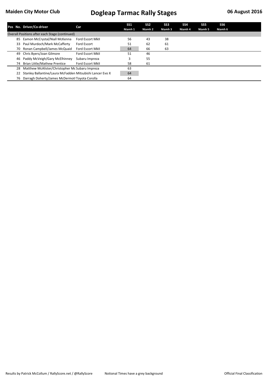|    | Pos No. Driver/Co-driver                                  | Car                     | SS1<br>Niamh 1 | SS <sub>2</sub><br>Niamh 2 | SS <sub>3</sub><br>Niamh 3 | SS <sub>4</sub><br>Niamh 4 | SS <sub>5</sub><br>Niamh 5 | SS6<br>Niamh 6 |
|----|-----------------------------------------------------------|-------------------------|----------------|----------------------------|----------------------------|----------------------------|----------------------------|----------------|
|    | Overall Positions after each Stage (continued)            |                         |                |                            |                            |                            |                            |                |
| 85 | Eamon McCrystal/Niall McKenna                             | <b>Ford Escort MkII</b> | 56             | 43                         | 38                         |                            |                            |                |
| 33 | Paul Murdoch/Mark McCafferty                              | Ford Escort             | 51             | 62                         | 61                         |                            |                            |                |
|    | 70 Ronan Campbell/James McQuaid                           | <b>Ford Escort MkII</b> | 64             | 66                         | 63                         |                            |                            |                |
| 49 | Chris Byers/Joan Gilmore                                  | Ford Escort MkII        | 51             | 46                         |                            |                            |                            |                |
| 46 | Paddy McVeigh/Gary McElhinney                             | Subaru Impreza          |                | 55                         |                            |                            |                            |                |
| 74 | Brian Little/Mathew Prentice                              | <b>Ford Escort MkII</b> | 58             | 61                         |                            |                            |                            |                |
| 28 | Matthew McAlister/Christopher Mc Subaru Impreza           |                         | 63             |                            |                            |                            |                            |                |
|    | Stanley Ballantine/Laura McFadden Mitsubishi Lancer Evo X |                         | 64             |                            |                            |                            |                            |                |
| 76 | Darragh Doherty/James McDermot Toyota Corolla             |                         | 64             |                            |                            |                            |                            |                |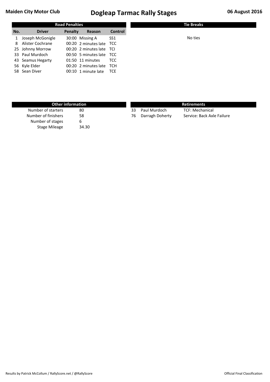| <b>Road Penalties</b> |                    |         |                          |            |
|-----------------------|--------------------|---------|--------------------------|------------|
| No.                   | <b>Driver</b>      | Penalty | Reason                   | Control    |
| $\mathbf{1}$          | Joseph McGonigle   |         | 30:00 Missing A          | SS1        |
|                       | 8 Alister Cochrane |         | 00:20 2 minutes late TCC |            |
|                       | 25 Johnny Morrow   |         | 00:20 2 minutes late TCI |            |
|                       | 33 Paul Murdoch    |         | 00:50 5 minutes late TCC |            |
|                       | 43 Seamus Hegarty  |         | 01:50 11 minutes         | TCC        |
|                       | 56 Kyle Elder      |         | 00:20 2 minutes late     | TCH        |
|                       | 58 Sean Diver      |         | 00:10 1 minute late      | <b>TCE</b> |

| <b>Other information</b> |       |    | <b>Retirements</b> |                            |  |  |  |  |
|--------------------------|-------|----|--------------------|----------------------------|--|--|--|--|
| Number of starters       | 80    | 33 | Paul Murdoch       | <b>TCF: Mechanical</b>     |  |  |  |  |
| Number of finishers      | 58    | 76 | Darragh Doherty    | Service: Back Axle Failure |  |  |  |  |
| Number of stages         | b     |    |                    |                            |  |  |  |  |
| <b>Stage Mileage</b>     | 34.30 |    |                    |                            |  |  |  |  |